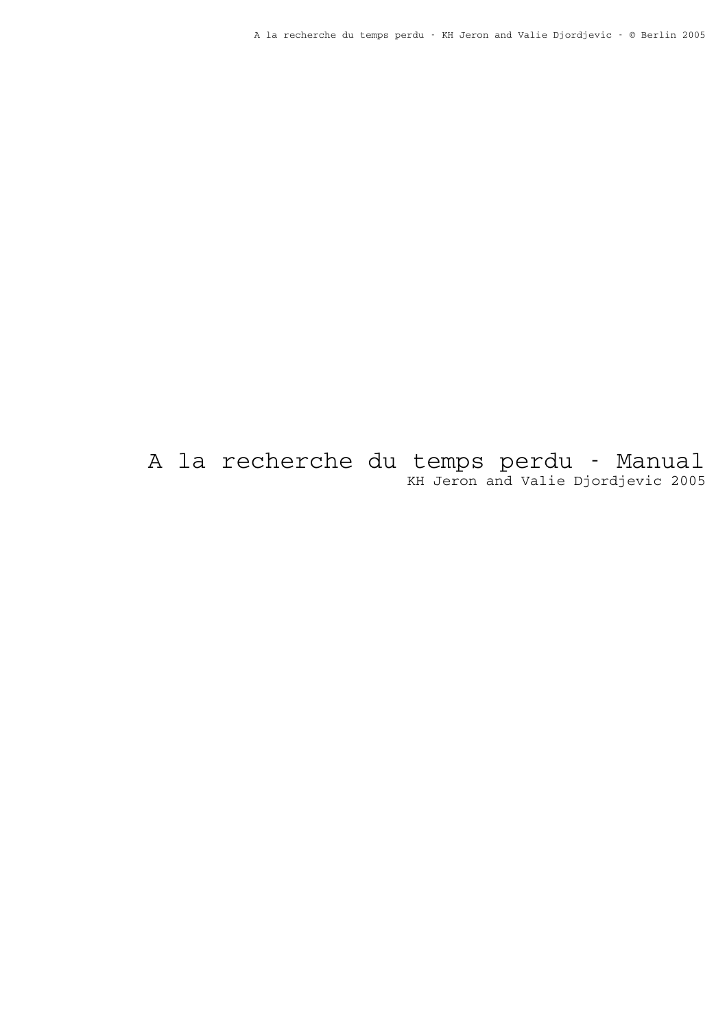A la recherche du temps perdu - Manual KH Jeron and Valie Djordjevic 2005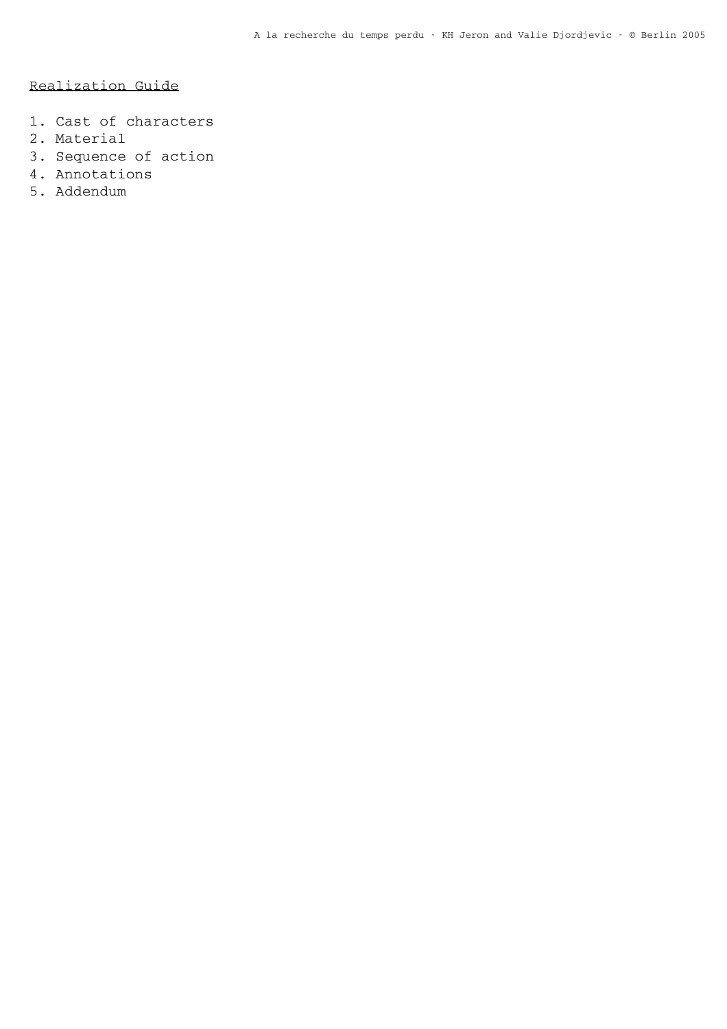# Realization Guide

- 1. Cast of characters
- 2. Material
- 3. Sequence of action
- 4. Annotations
- 5. Addendum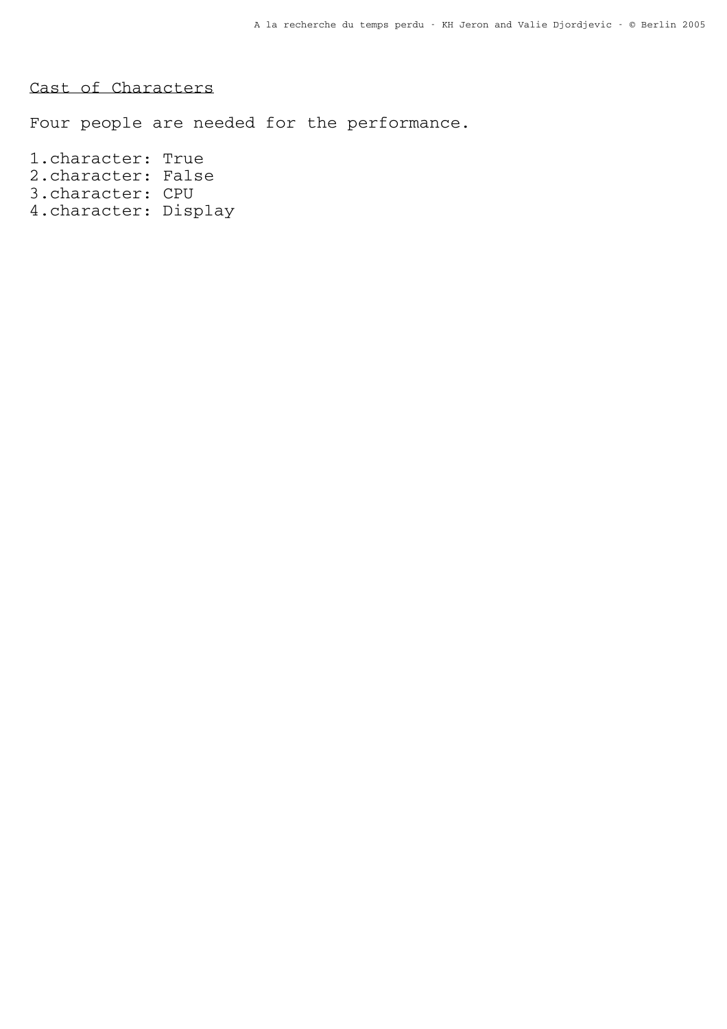Cast of Characters

Four people are needed for the performance.

1.character: True 2.character: False 3.character: CPU 4.character: Display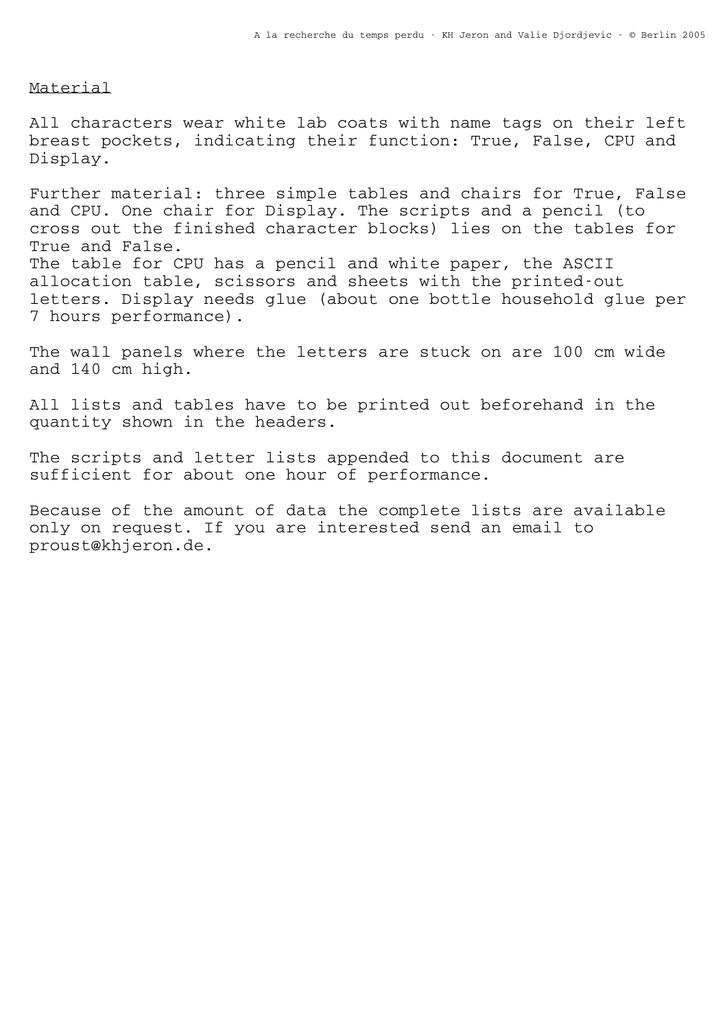## Material

All characters wear white lab coats with name tags on their left breast pockets, indicating their function: True, False, CPU and Display.

Further material: three simple tables and chairs for True, False and CPU. One chair for Display. The scripts and a pencil (to cross out the finished character blocks) lies on the tables for True and False. The table for CPU has a pencil and white paper, the ASCII allocation table, scissors and sheets with the printed-out letters. Display needs glue (about one bottle household glue per 7 hours performance).

The wall panels where the letters are stuck on are 100 cm wide and 140 cm high.

All lists and tables have to be printed out beforehand in the quantity shown in the headers.

The scripts and letter lists appended to this document are sufficient for about one hour of performance.

Because of the amount of data the complete lists are available only on request. If you are interested send an email to proust@khjeron.de.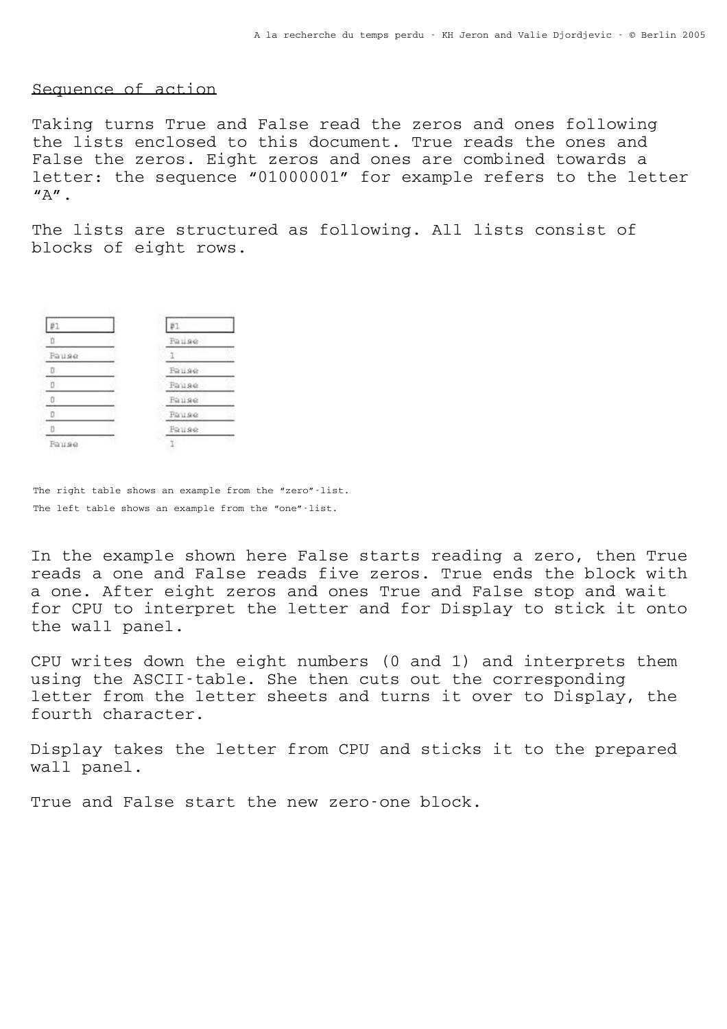## Sequence of action

Taking turns True and False read the zeros and ones following the lists enclosed to this document. True reads the ones and False the zeros. Eight zeros and ones are combined towards a letter: the sequence "01000001" for example refers to the letter  $"A"$ .

The lists are structured as following. All lists consist of blocks of eight rows.

| $\mathbb{D}$ | Fause |
|--------------|-------|
| Fause        |       |
| D.           | Fause |
|              | Fause |
| D.           | Fause |
|              | Fause |
| D.           | Fause |
| Fause        |       |

The right table shows an example from the "zero"-list. The left table shows an example from the "one"-list.

In the example shown here False starts reading a zero, then True reads a one and False reads five zeros. True ends the block with a one. After eight zeros and ones True and False stop and wait for CPU to interpret the letter and for Display to stick it onto the wall panel.

CPU writes down the eight numbers (0 and 1) and interprets them using the ASCII-table. She then cuts out the corresponding letter from the letter sheets and turns it over to Display, the fourth character.

Display takes the letter from CPU and sticks it to the prepared wall panel.

True and False start the new zero-one block.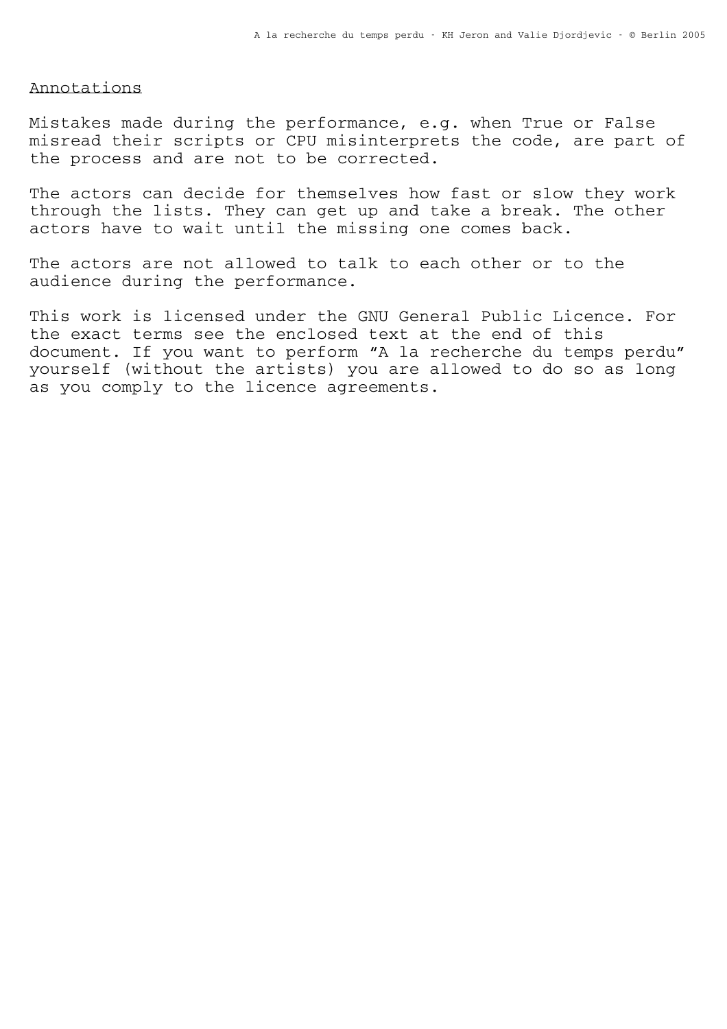# Annotations

Mistakes made during the performance, e.g. when True or False misread their scripts or CPU misinterprets the code, are part of the process and are not to be corrected.

The actors can decide for themselves how fast or slow they work through the lists. They can get up and take a break. The other actors have to wait until the missing one comes back.

The actors are not allowed to talk to each other or to the audience during the performance.

This work is licensed under the GNU General Public Licence. For the exact terms see the enclosed text at the end of this document. If you want to perform "A la recherche du temps perdu" yourself (without the artists) you are allowed to do so as long as you comply to the licence agreements.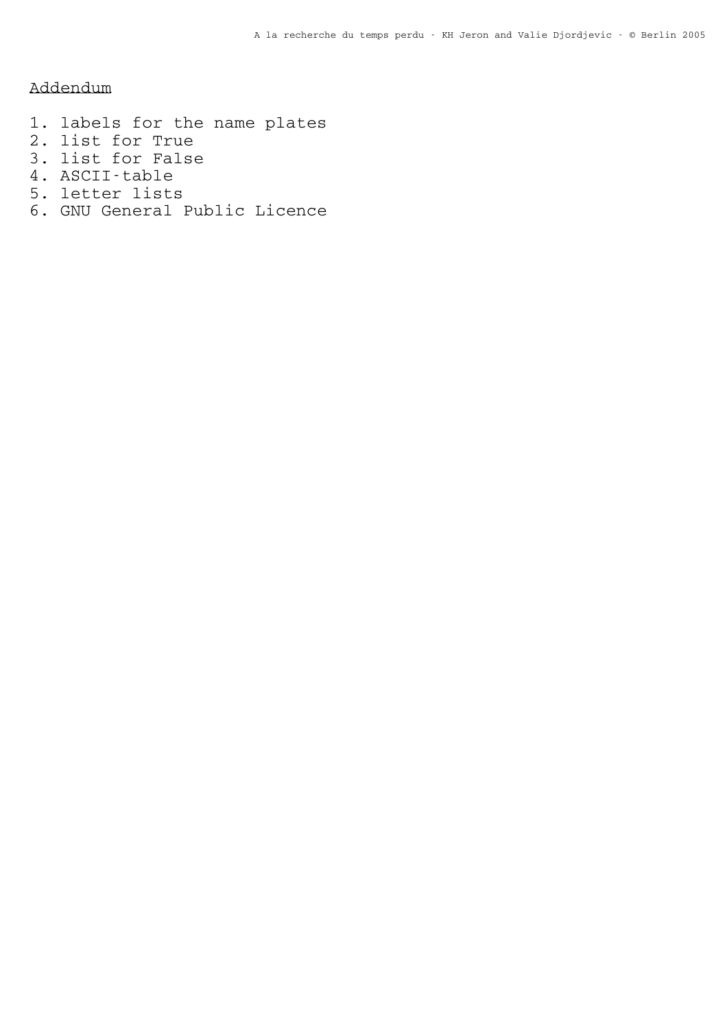Addendum

- 1. labels for the name plates
- 2. list for True
- 3. list for False
- 4. ASCII-table
- 5. letter lists
- 6. GNU General Public Licence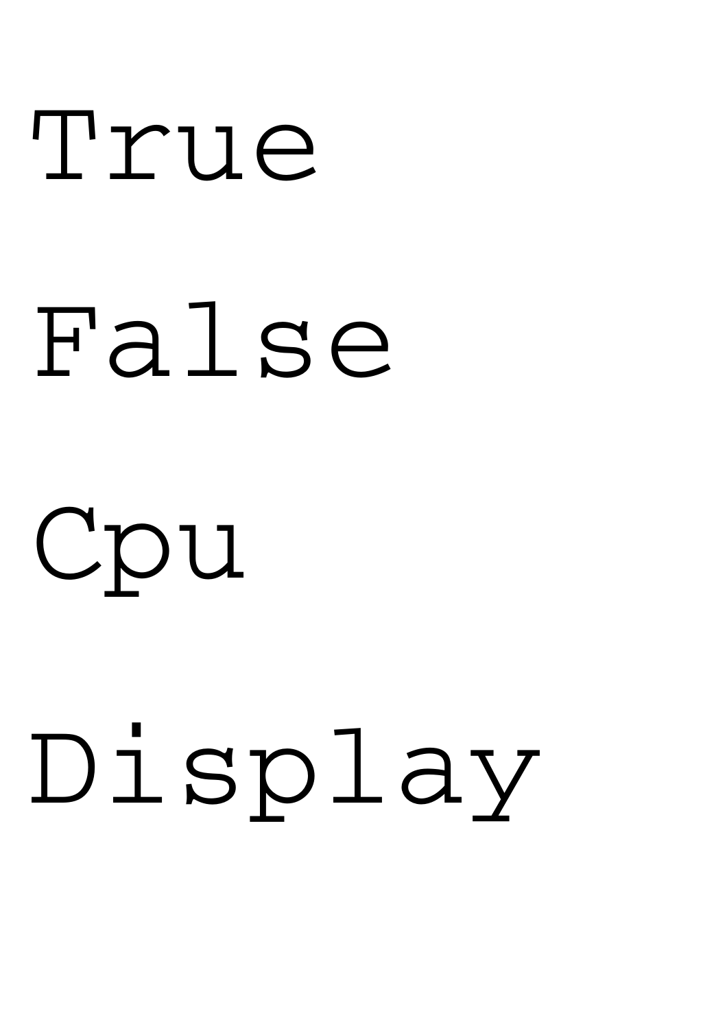# True False Cpu

# Display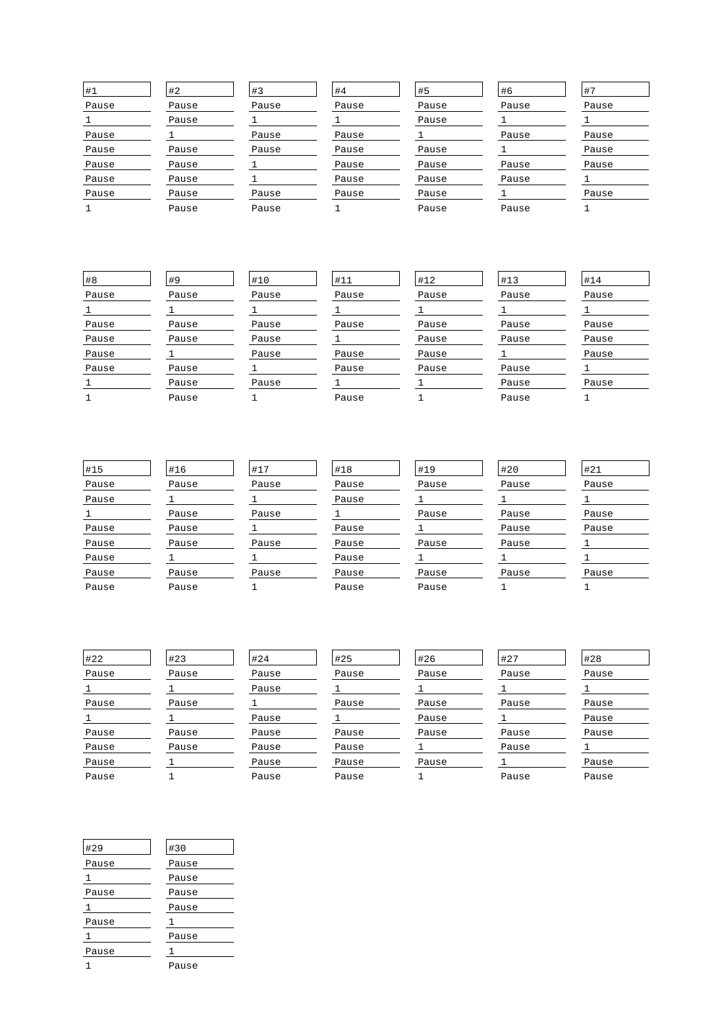| #1    | #2    | #3    | #4    | #5    | #6    | $+7$  |
|-------|-------|-------|-------|-------|-------|-------|
| Pause | Pause | Pause | Pause | Pause | Pause | Pause |
|       | Pause |       |       | Pause |       |       |
| Pause |       | Pause | Pause |       | Pause | Pause |
| Pause | Pause | Pause | Pause | Pause |       | Pause |
| Pause | Pause |       | Pause | Pause | Pause | Pause |
| Pause | Pause |       | Pause | Pause | Pause |       |
| Pause | Pause | Pause | Pause | Pause |       | Pause |
|       | Pause | Pause |       | Pause | Pause |       |

| #8    |
|-------|
| Pause |
| 1     |
| Pause |
| Pause |
| Pause |
| Pause |
| 1     |
|       |

| #9    |
|-------|
| Pause |
| ı     |
| Pause |
| Pause |
| 1     |
| Pause |
| Pause |
| Pause |

| #10   |
|-------|
| Pause |
| 1     |
| Pause |
| Pause |
| Pause |
| 1     |
| Pause |
|       |

| #11   |
|-------|
| Pause |
| 1     |
| Pause |
| 1     |
| Pause |
| Pause |
| 1     |
| Pause |

| #12   |  |
|-------|--|
| Pause |  |
| 1     |  |
| Pause |  |
| Pause |  |
| Pause |  |
| Pause |  |
| 1     |  |
| 1     |  |

1 1

| #13   |
|-------|
| Pause |
| 1     |
| Pause |
| Pause |
| 1     |
| Pause |
| Pause |
| Pause |

| #14   |
|-------|
| Pause |
| 1     |
| Pause |
| Pause |
| Pause |
| 1     |
| Pause |
|       |

| #15   |
|-------|
| Pause |
| Pause |
| 1     |
| Pause |
| Pause |
| Pause |
| Pause |
| Pause |

#16 Pause 1 Pause Pause Pause 1 Pause Pause

| #17   |
|-------|
| Pause |
| 1     |
| Pause |
| 1     |
| Pause |
| 1     |
| Pause |
|       |

| #18   |
|-------|
| Pause |
| Pause |
| 1     |
| Pause |
| Pause |
| Pause |
| Pause |
| Pause |

#19 Pause  $\overline{1}$ Pause 1 Pause 1 Pause Pause

| #20   |
|-------|
| Pause |
| 1     |
| Pause |
| Pause |
| Pause |
| 1     |
| Pause |
|       |

#27 Pause 1 Pause 1 Pause Pause  $\overline{1}$ Pause

| #21   |
|-------|
| Pause |
| 1     |
| Pause |
| Pause |
| 1     |
| 1     |
| Pause |
|       |

| #22   |
|-------|
| Pause |
| 1     |
| Pause |
| ı     |
| Pause |
| Pause |
| Pause |
| Pause |

| #23   |  |
|-------|--|
| Pause |  |
| 1     |  |
| Pause |  |
| 1     |  |
| Pause |  |
| Pause |  |
| 1     |  |
|       |  |

| #24   |
|-------|
| Pause |
| Pause |
| 1     |
| Pause |
| Pause |
| Pause |
| Pause |
| Pause |

#25 Pause 1 Pause 1 Pause Pause Pause Pause

| #26   |
|-------|
| Pause |
| 1     |
| Pause |
| Pause |
| Pause |
| 1     |
| Pause |
| 1     |
|       |

| #28   |
|-------|
| Pause |
| 1     |
| Pause |
| Pause |
| Pause |
| 1     |
| Pause |
| Pause |
|       |

| #29   | #30   |
|-------|-------|
| Pause | Pause |
| 1     | Pause |
| Pause | Pause |
| 1     | Pause |
| Pause | 1     |
| 1     | Pause |
| Pause | 1     |
|       | Pause |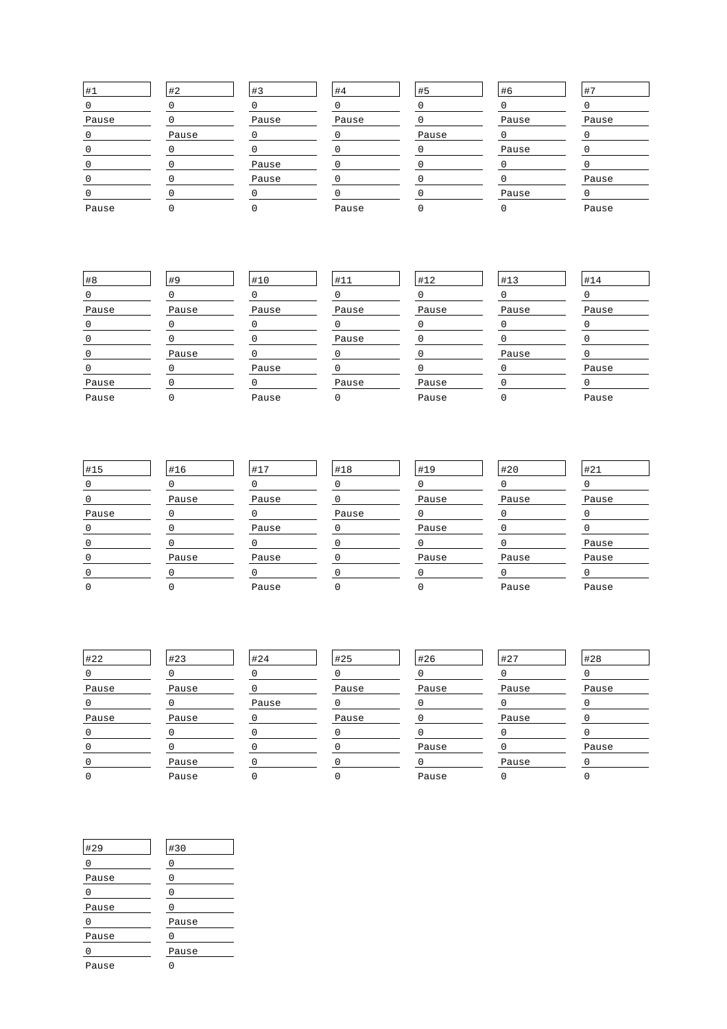| $\#1$ | #2    | #3    | #4    | #5    | #6    | #7    |
|-------|-------|-------|-------|-------|-------|-------|
|       |       |       |       |       |       |       |
| Pause |       | Pause | Pause |       | Pause | Pause |
|       | Pause |       |       | Pause |       |       |
|       |       |       |       |       | Pause |       |
|       |       | Pause |       |       |       |       |
|       |       | Pause |       |       |       | Pause |
|       |       |       |       |       | Pause |       |
| Pause |       |       | Pause |       |       | Pause |

| #8    | #9    | #10   | #11      | #12   | #13   | #14   |
|-------|-------|-------|----------|-------|-------|-------|
|       |       |       |          |       |       |       |
| Pause | Pause | Pause | Pause    | Pause | Pause | Pause |
|       |       |       |          |       |       |       |
|       |       |       | Pause    |       |       |       |
|       | Pause |       |          |       | Pause |       |
|       |       | Pause |          |       |       | Pause |
| Pause |       |       | Pause    | Pause |       |       |
| Pause |       | Pause | $\Omega$ | Pause |       | Pause |

| #15   | #16   | #17   | #18   | #19   | #20   | #21   |
|-------|-------|-------|-------|-------|-------|-------|
|       |       |       |       |       |       |       |
|       | Pause | Pause |       | Pause | Pause | Pause |
| Pause |       |       | Pause |       |       |       |
|       |       | Pause |       | Pause |       |       |
|       |       |       |       |       |       | Pause |
|       | Pause | Pause |       | Pause | Pause | Pause |
|       |       |       |       |       |       |       |
|       |       | Pause |       |       | Pause | Pause |

| #22   | #23   | #24   | #25   | #26   | #27   | #28   |
|-------|-------|-------|-------|-------|-------|-------|
|       |       |       |       |       |       |       |
| Pause | Pause |       | Pause | Pause | Pause | Pause |
|       |       | Pause |       |       |       |       |
| Pause | Pause |       | Pause |       | Pause |       |
|       |       |       |       |       |       |       |
|       |       |       |       | Pause |       | Pause |
|       | Pause |       |       |       | Pause |       |
|       | Pause |       |       | Pause |       |       |

| #29   | #30   |  |
|-------|-------|--|
| Ω     | 0     |  |
| Pause | 0     |  |
| U     | 0     |  |
| Pause | N     |  |
| Λ     | Pause |  |
| Pause | N     |  |
| Λ     | Pause |  |
| Pause |       |  |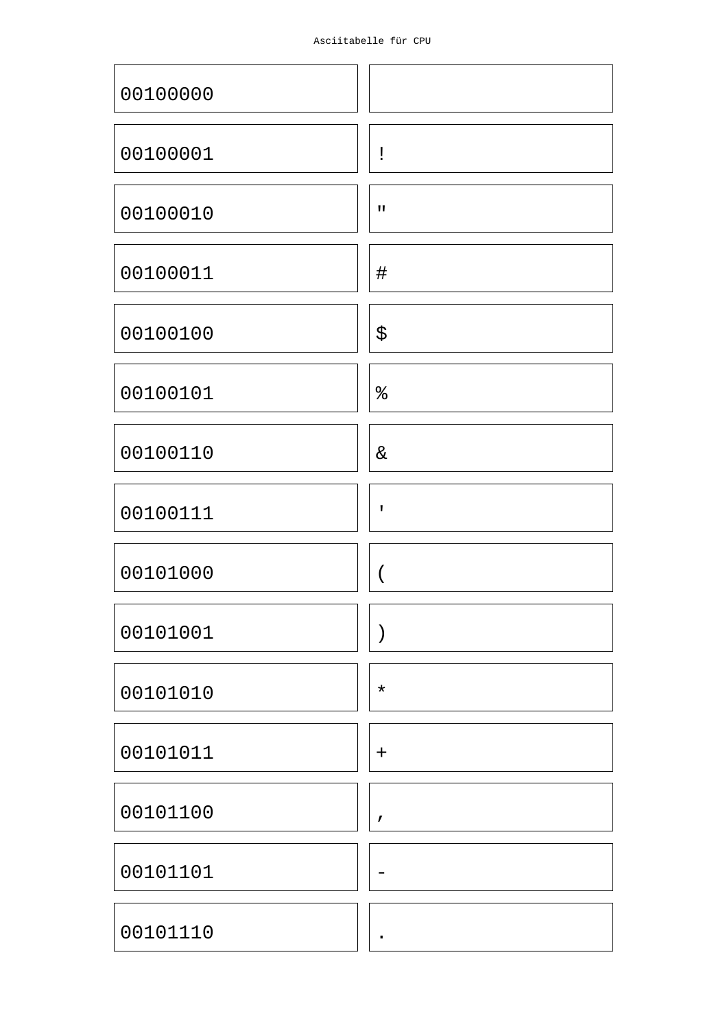| Asciitabelle für CPU |  |
|----------------------|--|
|                      |  |

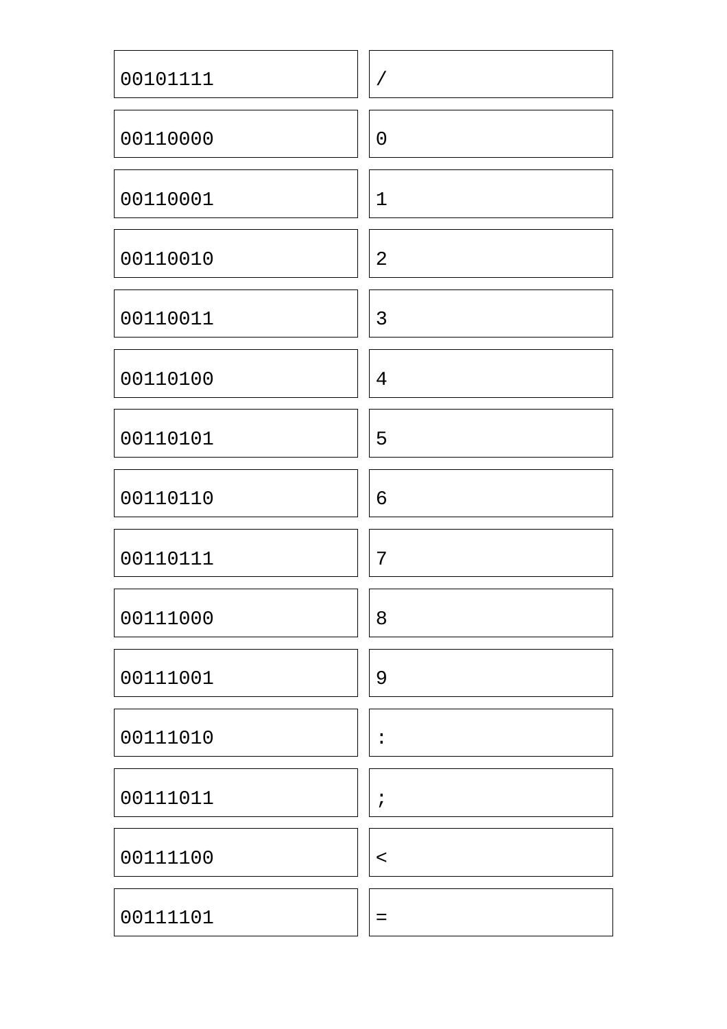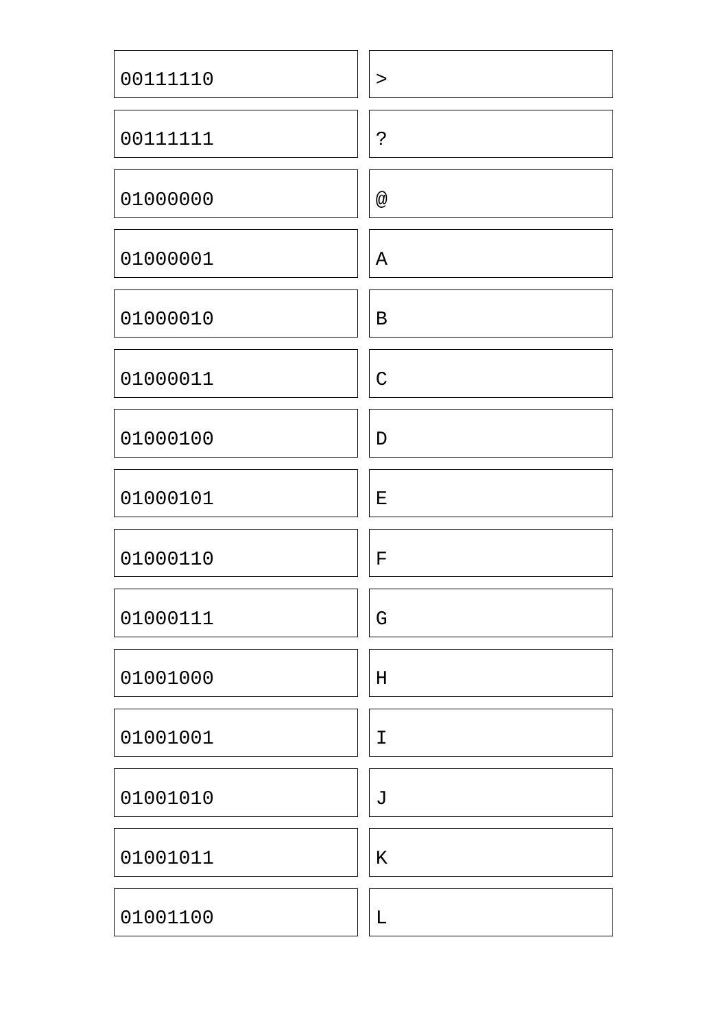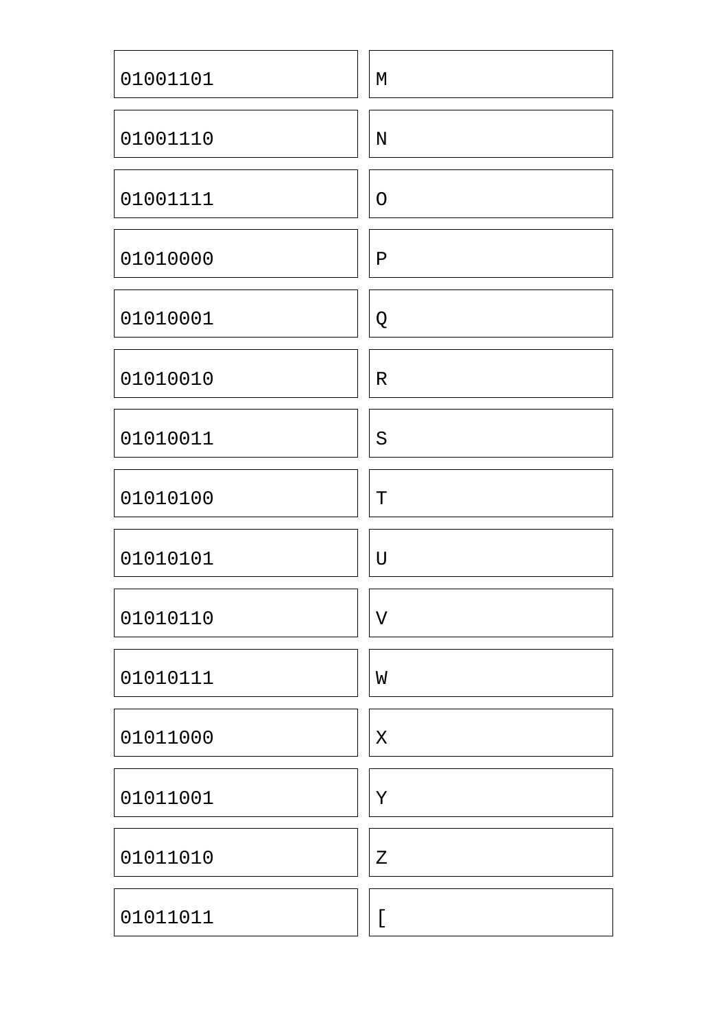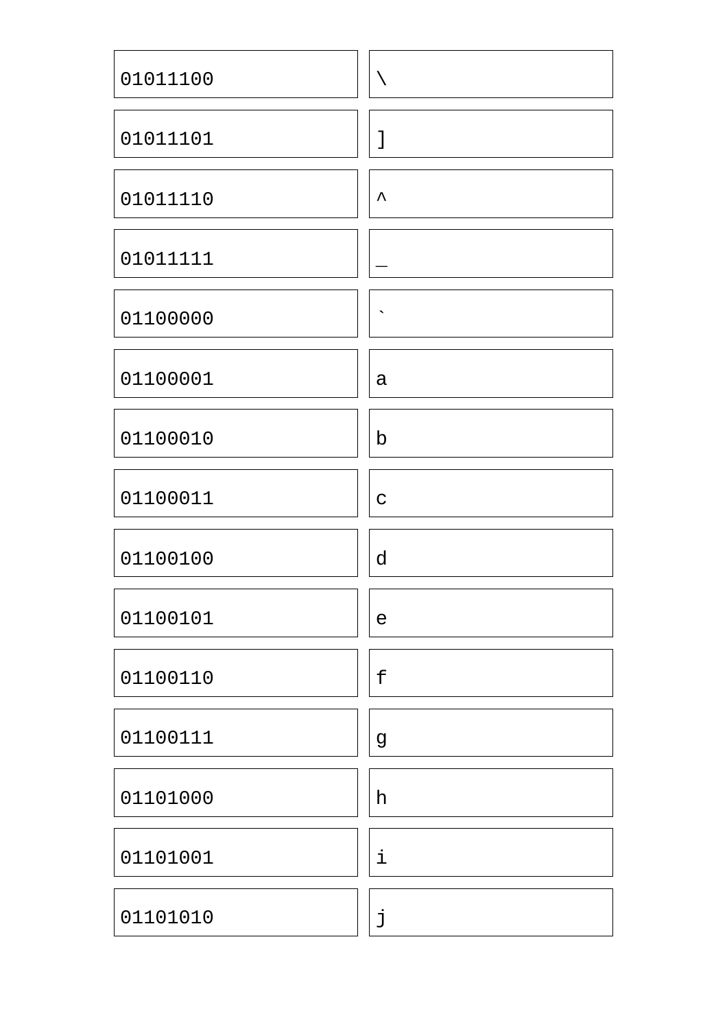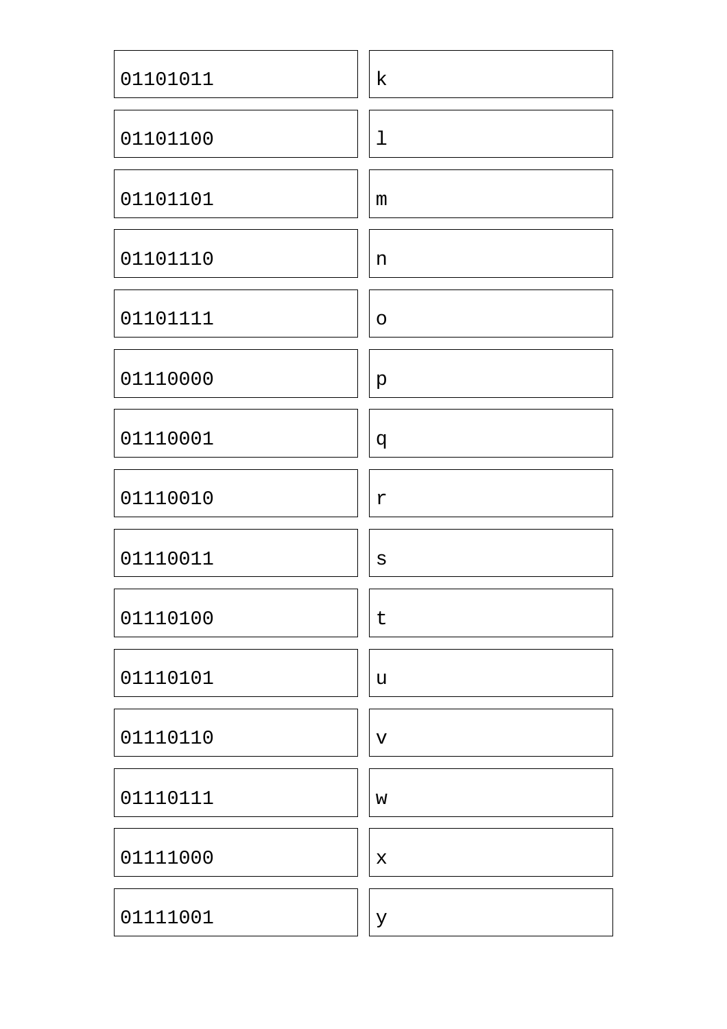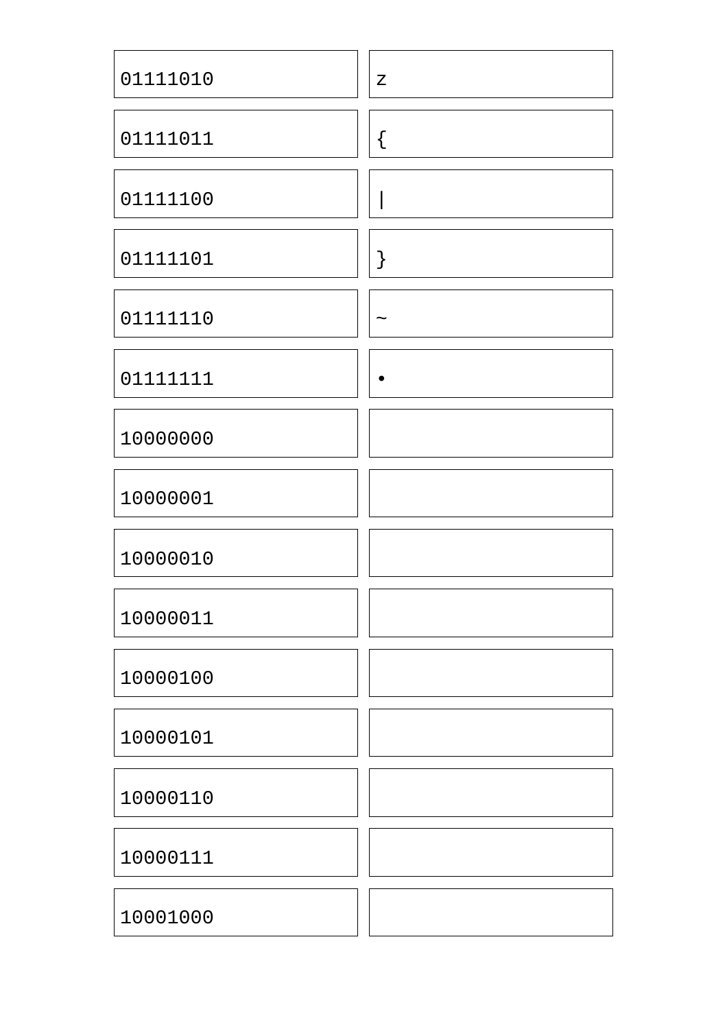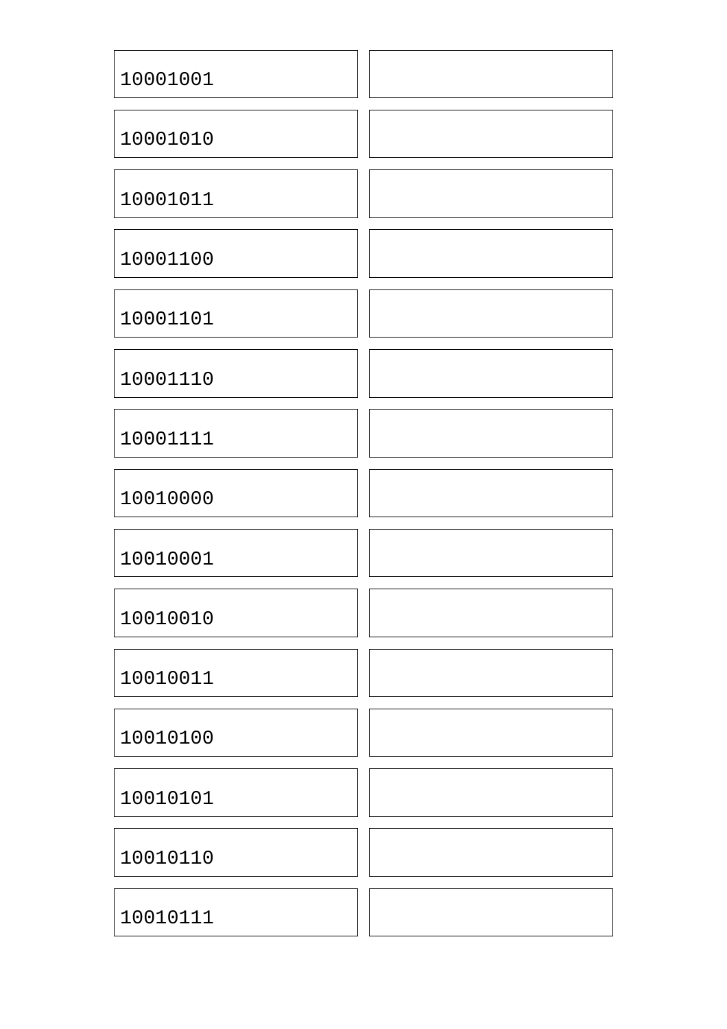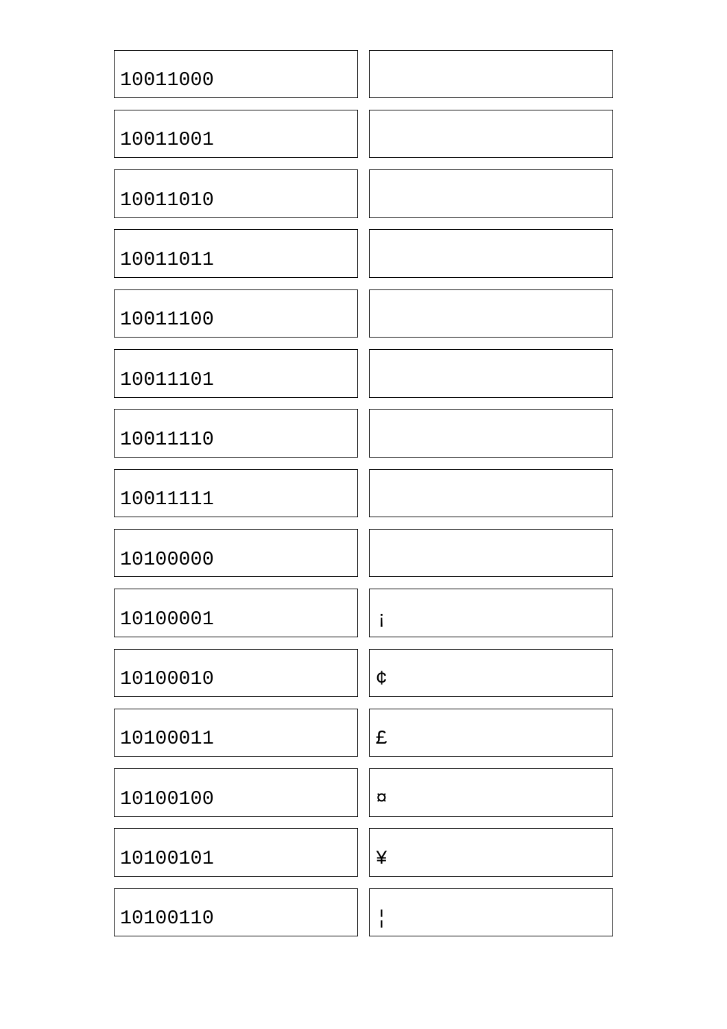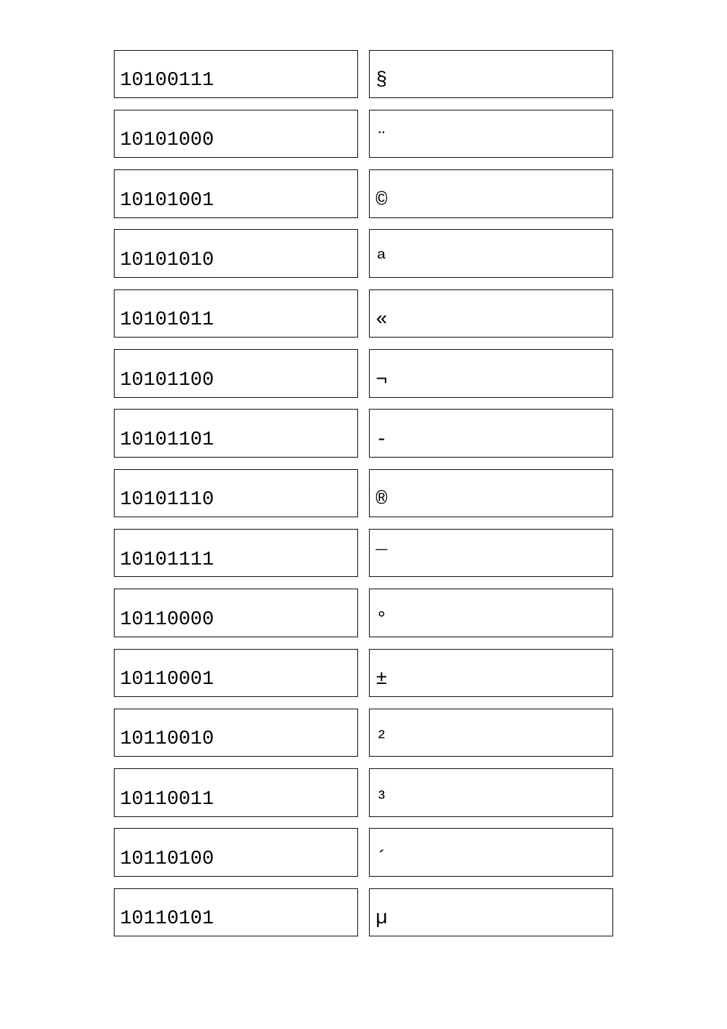| 10100111 | $\mathsf S$             |
|----------|-------------------------|
| 10101000 | н.                      |
| 10101001 | $\odot$                 |
| 10101010 | a                       |
| 10101011 | $\ll$                   |
| 10101100 | ┑                       |
| 10101101 |                         |
| 10101110 | $^{\circledR}$          |
| 10101111 |                         |
| 10110000 | $\circ$                 |
| 10110001 | 土                       |
| 10110010 | $\overline{\mathbf{2}}$ |
| 10110011 | $\mathsf 3$             |
| 10110100 | ◢                       |
| 10110101 | μ                       |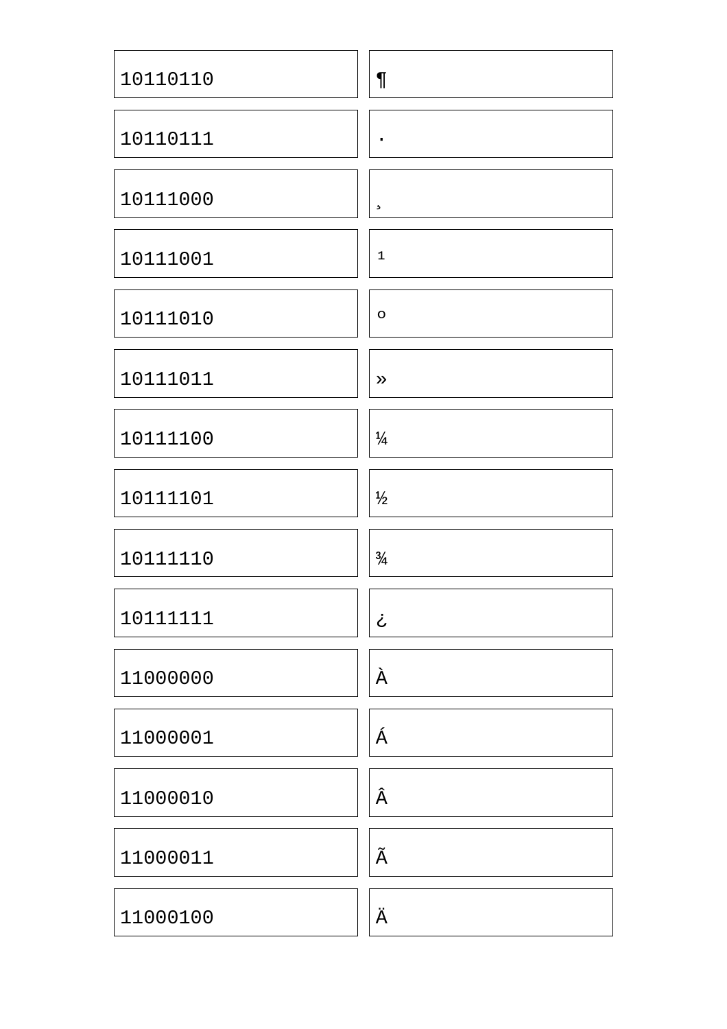| 10110110 | $\P$               |
|----------|--------------------|
| 10110111 | $\bullet$          |
| 10111000 | $\mathbf s$        |
| 10111001 | 1                  |
| 10111010 | $\circ$            |
| 10111011 | $\gg$              |
| 10111100 | $\frac{1}{4}$      |
| 10111101 | $\frac{1}{2}$      |
| 10111110 | $\frac{3}{4}$      |
| 10111111 | ڂ                  |
| 11000000 | À                  |
| 11000001 | Á                  |
| 11000010 | Â                  |
| 11000011 | $\tilde{\text{A}}$ |
| 11000100 | Ä                  |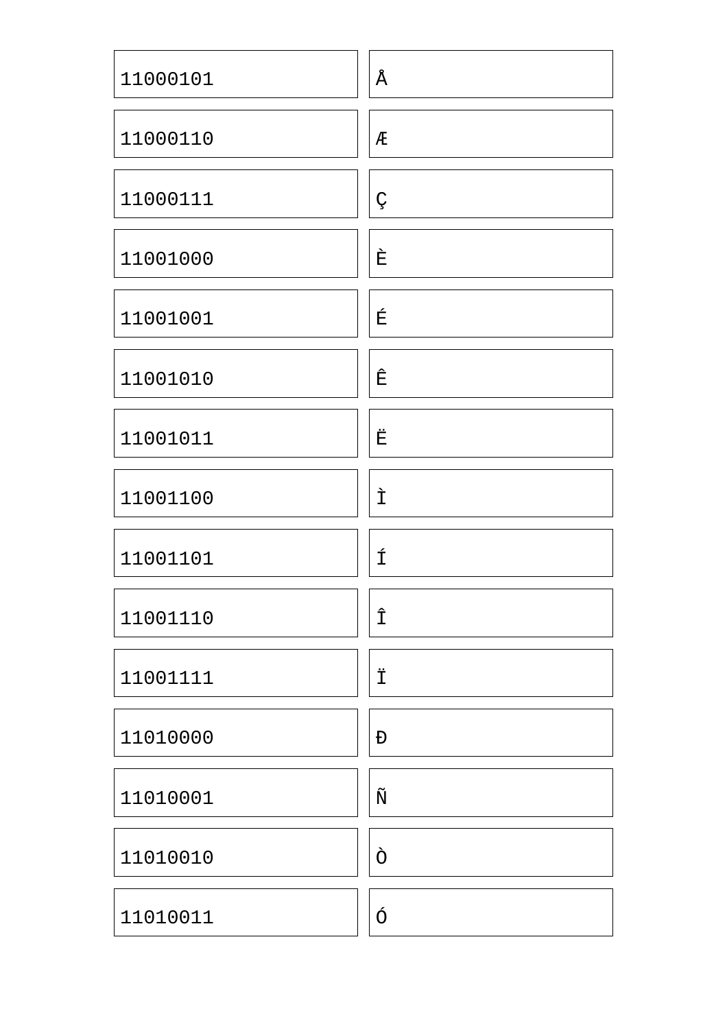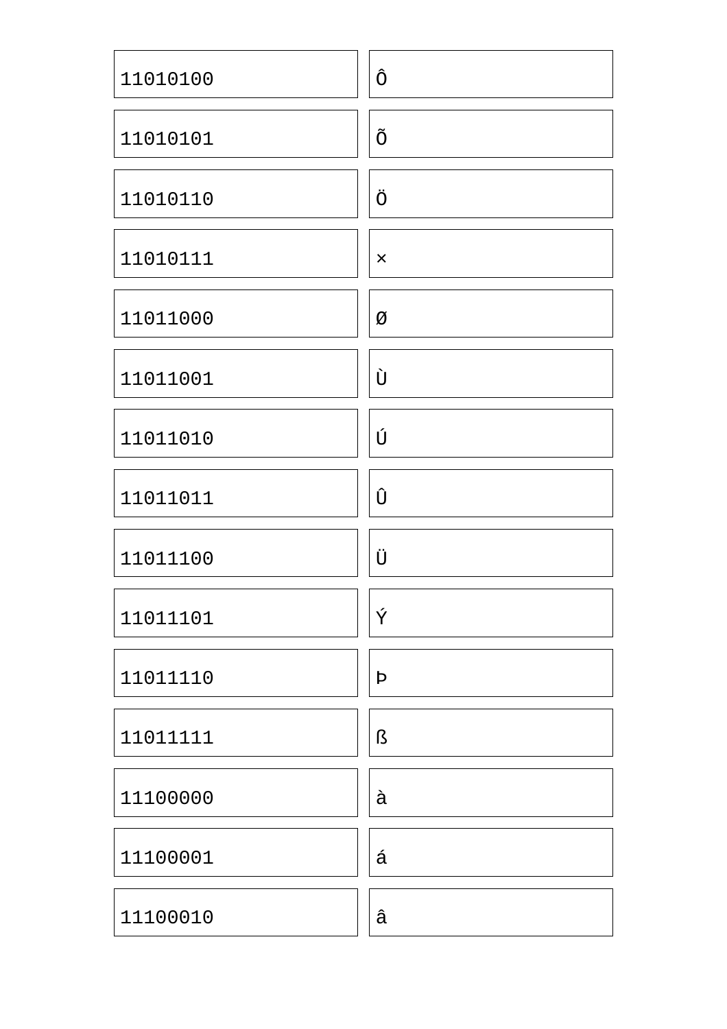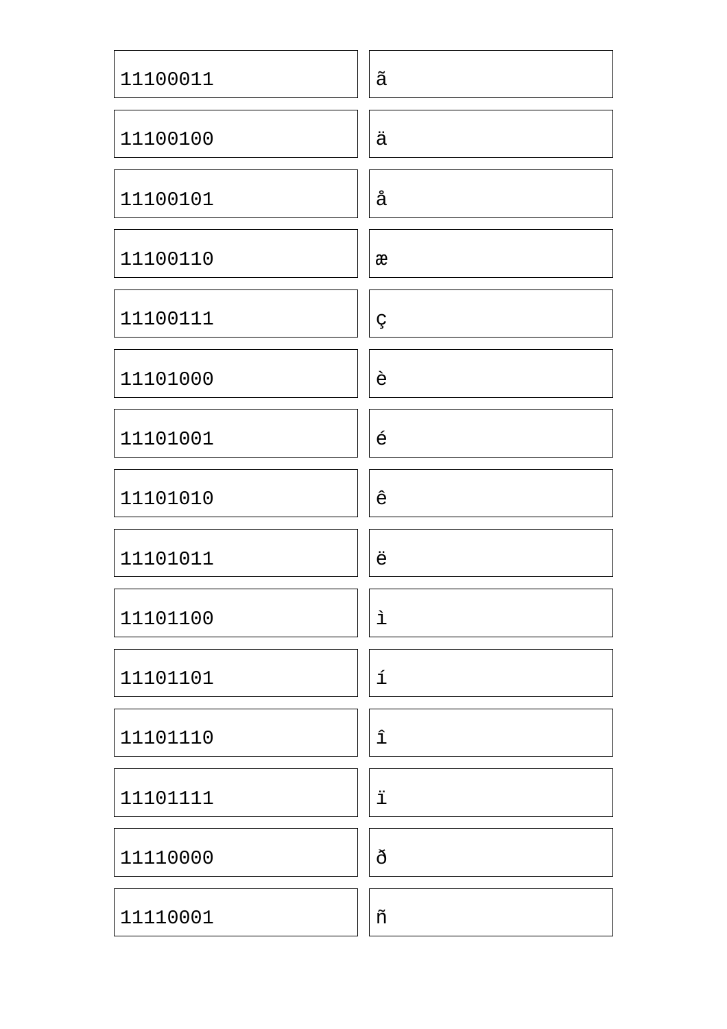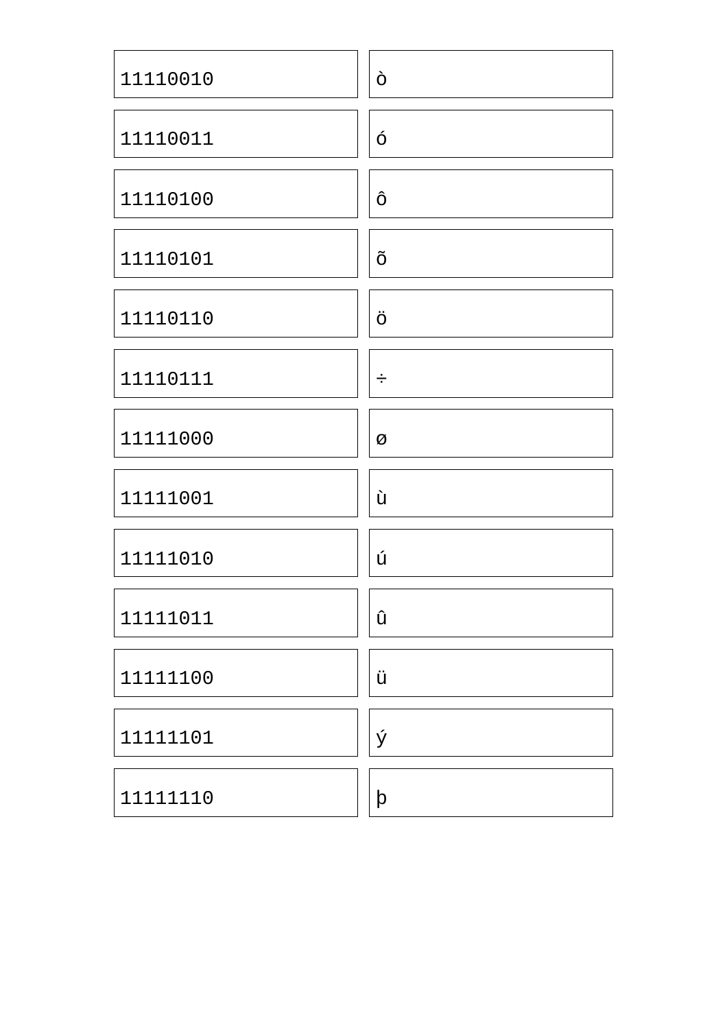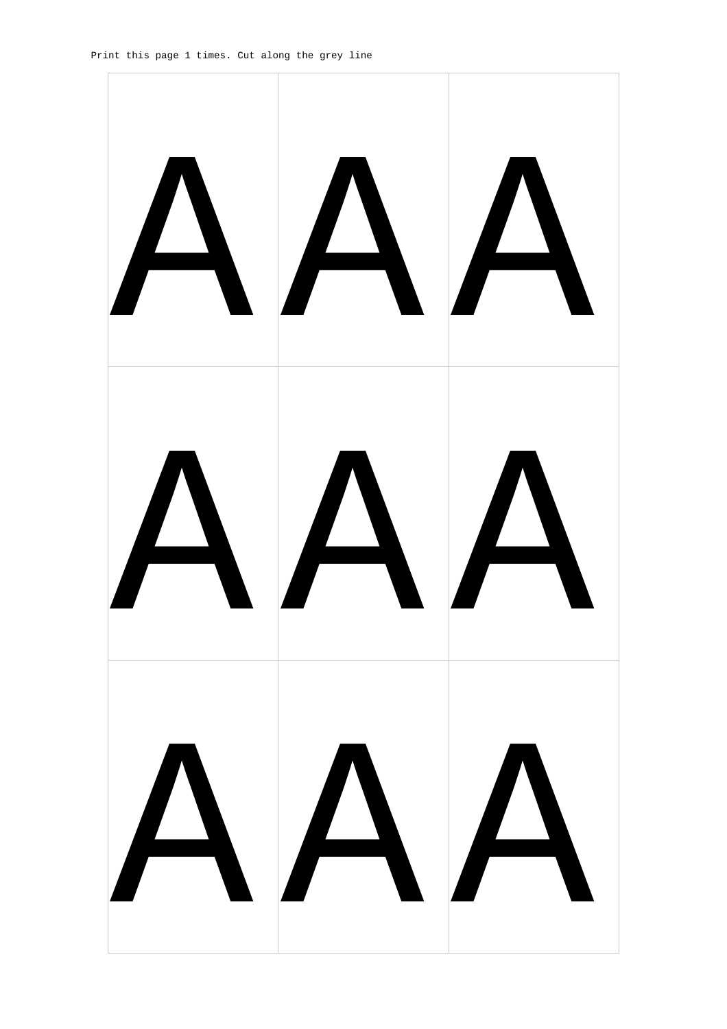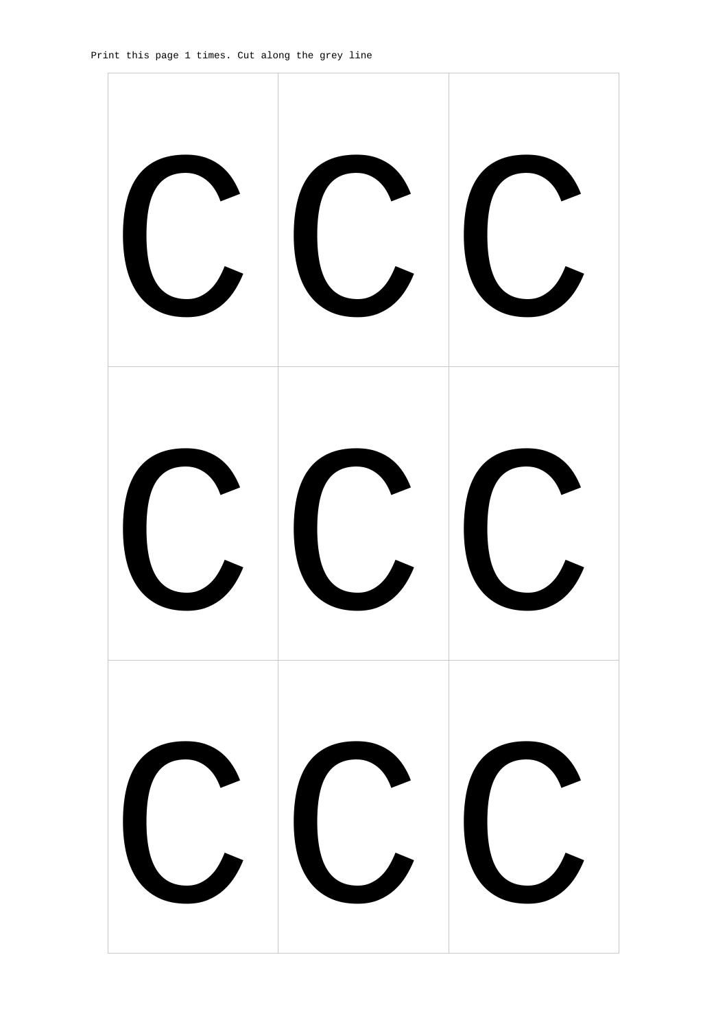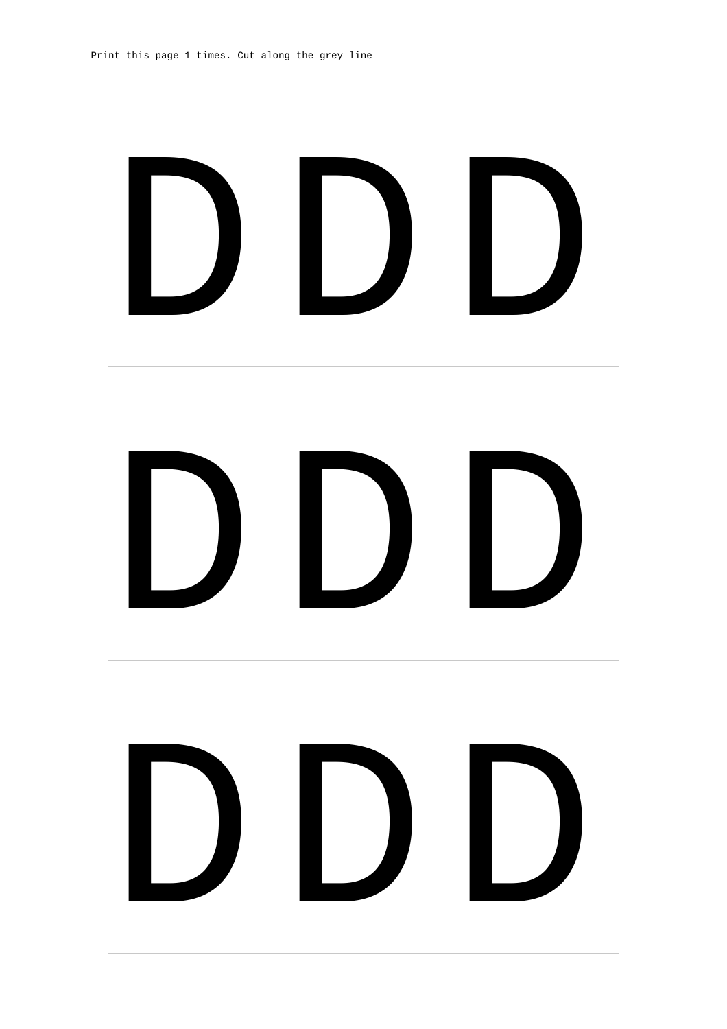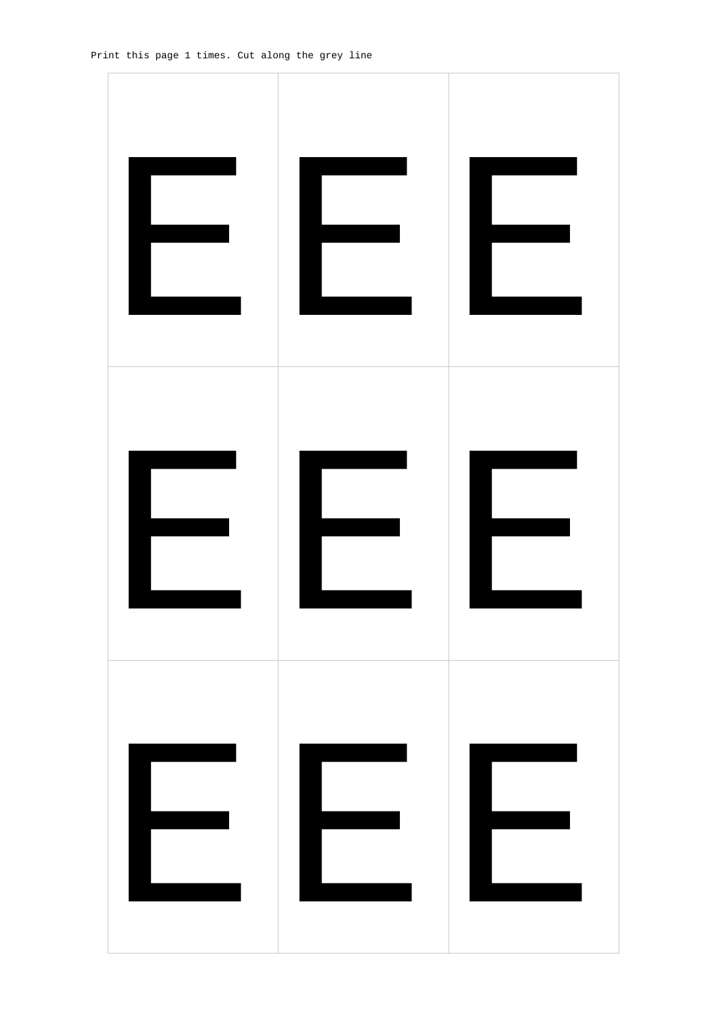![](_page_29_Picture_1.jpeg)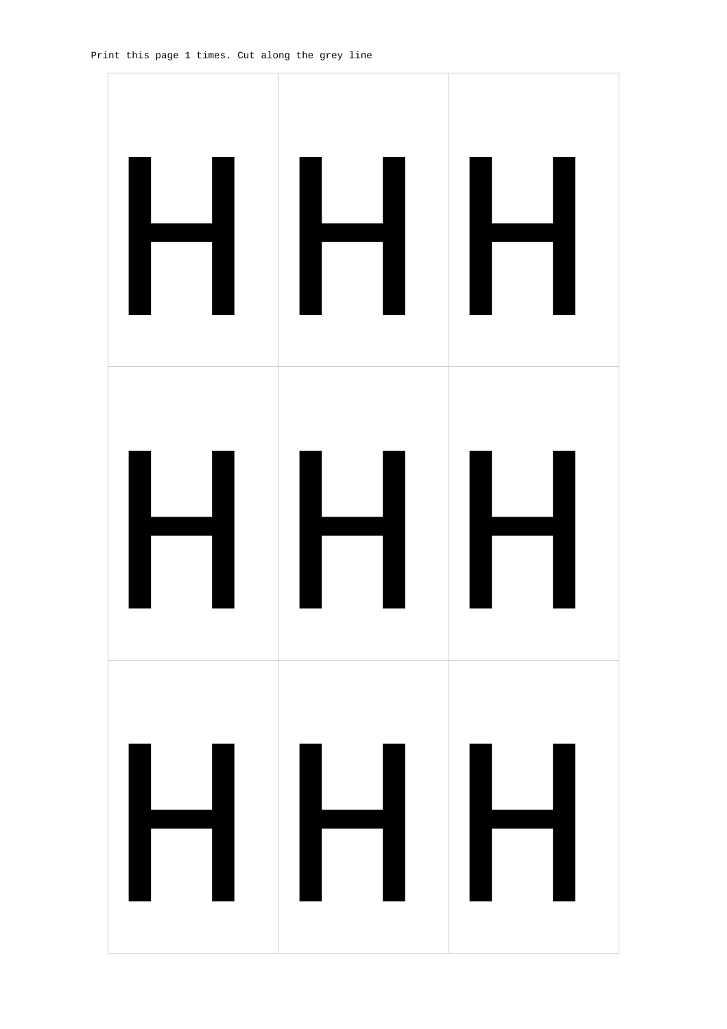![](_page_30_Figure_1.jpeg)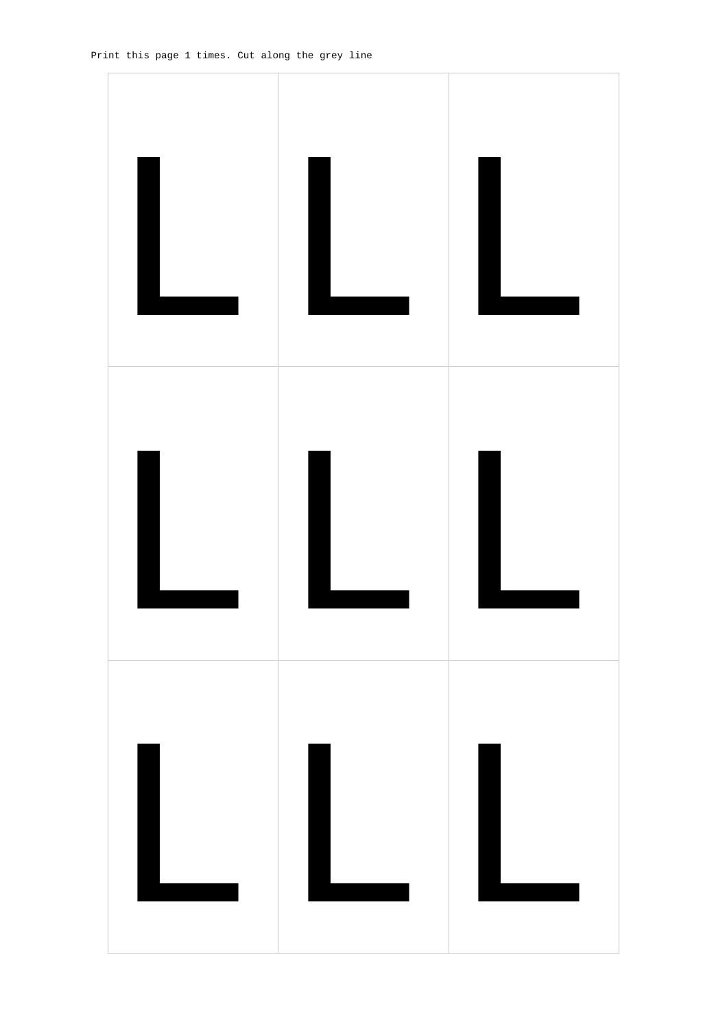![](_page_31_Figure_1.jpeg)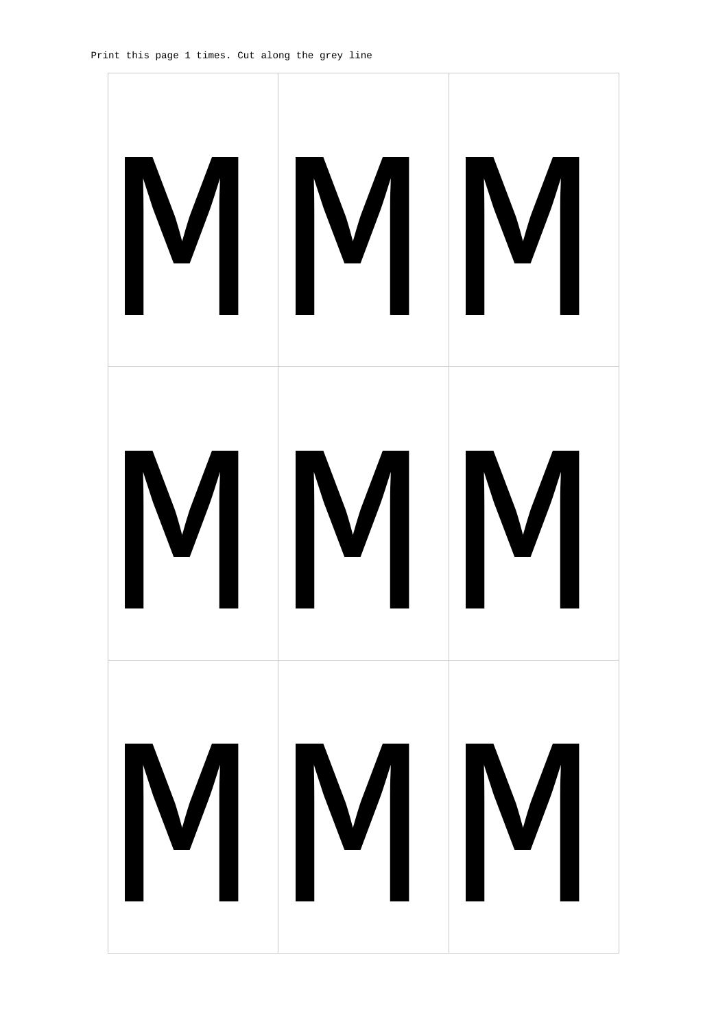![](_page_32_Picture_1.jpeg)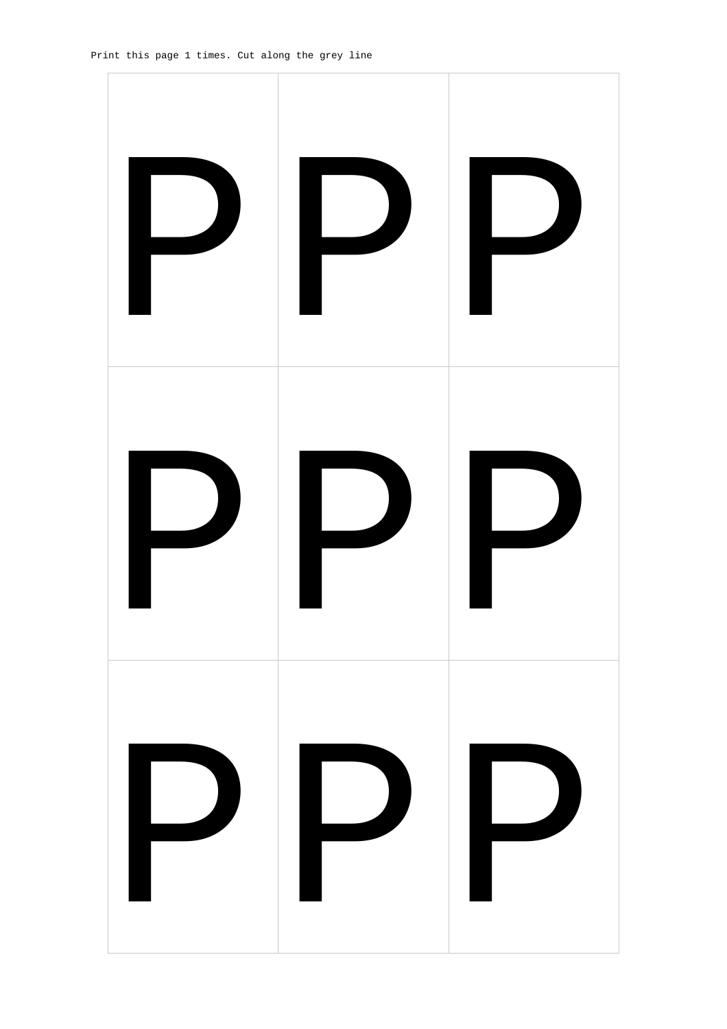![](_page_33_Picture_1.jpeg)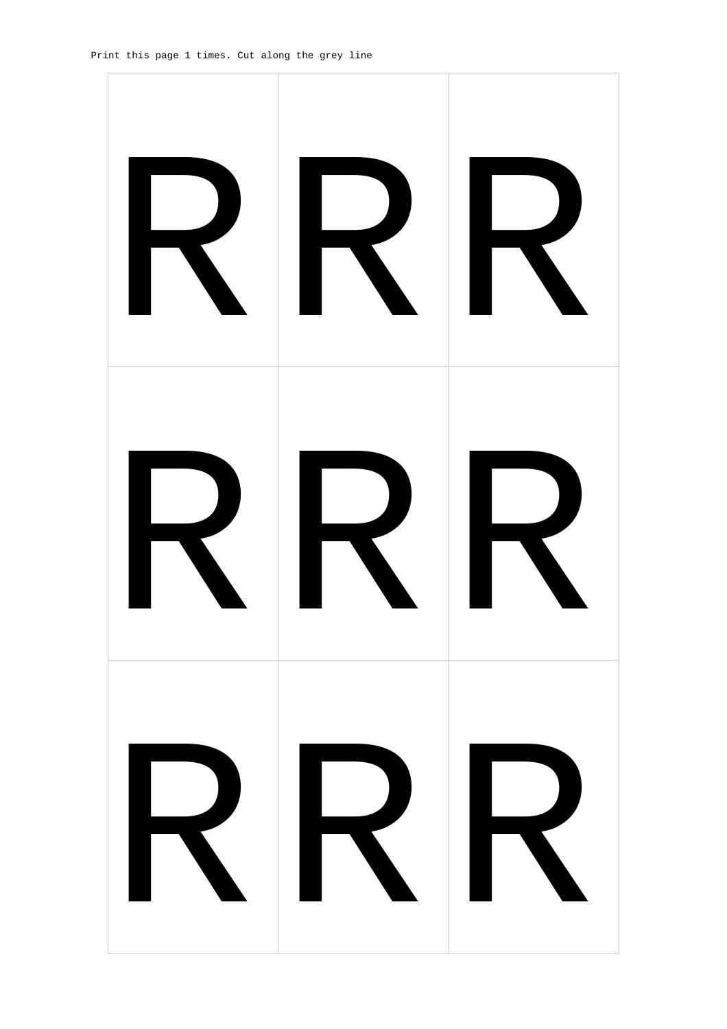![](_page_34_Picture_1.jpeg)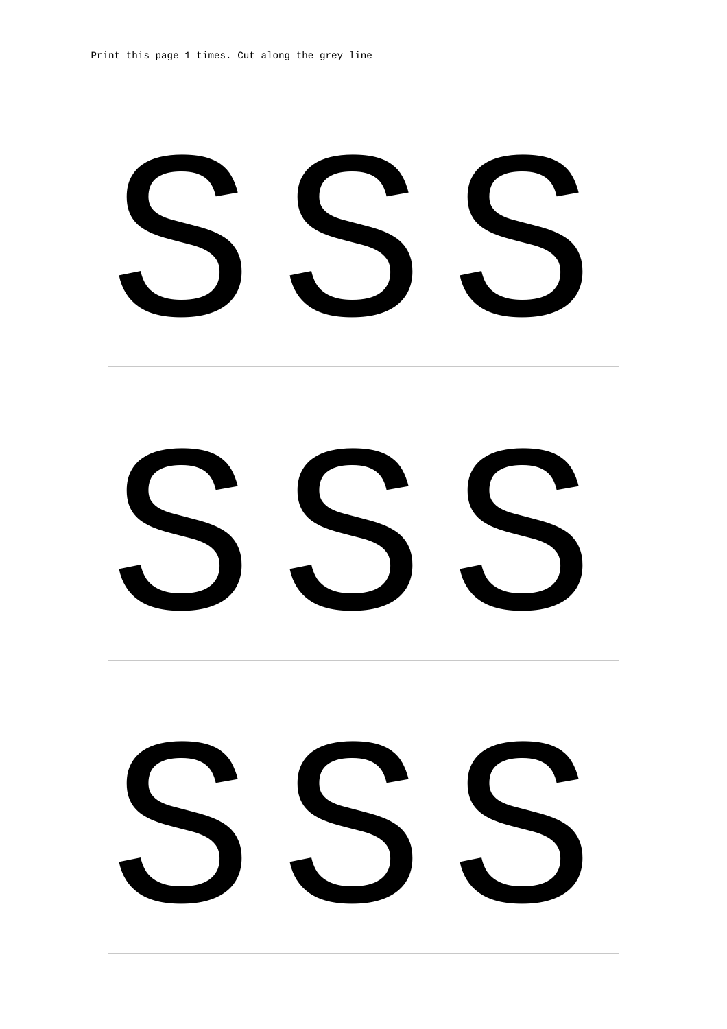![](_page_35_Picture_1.jpeg)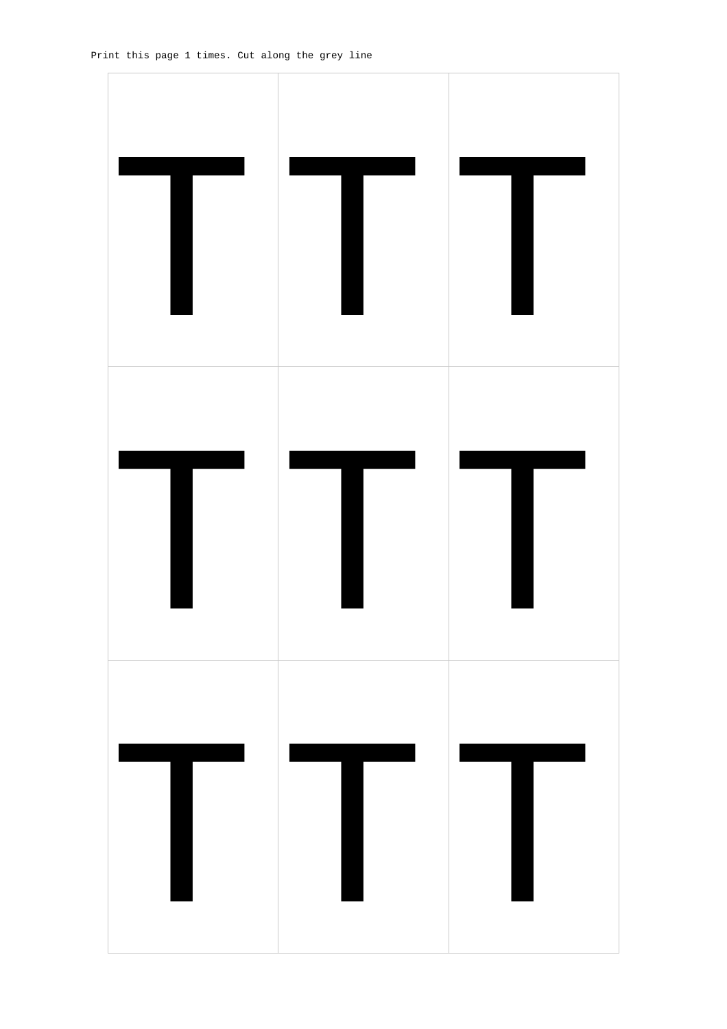![](_page_36_Picture_1.jpeg)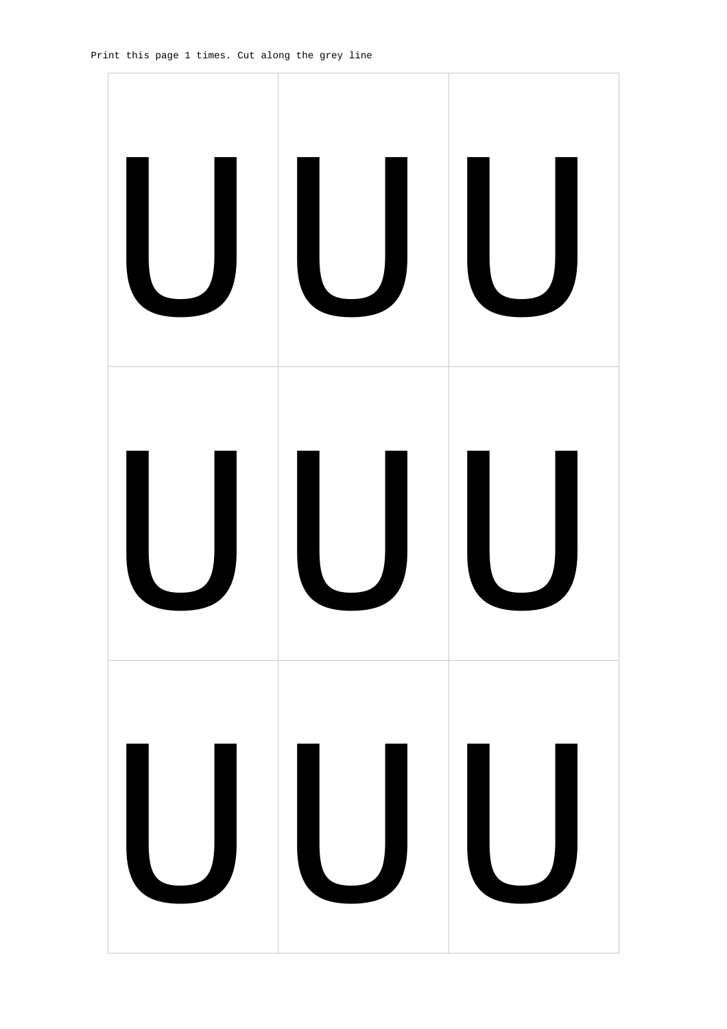![](_page_37_Picture_1.jpeg)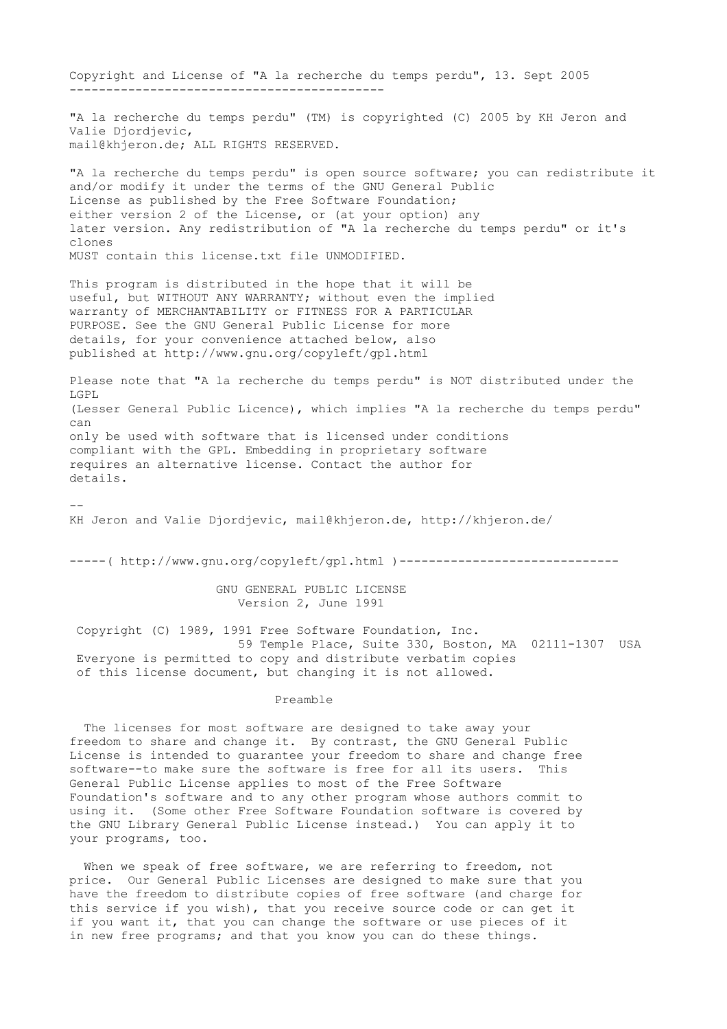Copyright and License of "A la recherche du temps perdu", 13. Sept 2005 ------------------------------------------- "A la recherche du temps perdu" (TM) is copyrighted (C) 2005 by KH Jeron and Valie Djordjevic, mail@khjeron.de; ALL RIGHTS RESERVED. "A la recherche du temps perdu" is open source software; you can redistribute it and/or modify it under the terms of the GNU General Public License as published by the Free Software Foundation; either version 2 of the License, or (at your option) any later version. Any redistribution of "A la recherche du temps perdu" or it's clones MUST contain this license.txt file UNMODIFIED. This program is distributed in the hope that it will be useful, but WITHOUT ANY WARRANTY; without even the implied warranty of MERCHANTABILITY or FITNESS FOR A PARTICULAR PURPOSE. See the GNU General Public License for more details, for your convenience attached below, also published at http://www.gnu.org/copyleft/gpl.html Please note that "A la recherche du temps perdu" is NOT distributed under the LGPL (Lesser General Public Licence), which implies "A la recherche du temps perdu" can only be used with software that is licensed under conditions compliant with the GPL. Embedding in proprietary software requires an alternative license. Contact the author for details. -- KH Jeron and Valie Djordjevic, mail@khjeron.de, http://khjeron.de/ -----( http://www.gnu.org/copyleft/gpl.html )----------------------------------- GNU GENERAL PUBLIC LICENSE Version 2, June 1991 Copyright (C) 1989, 1991 Free Software Foundation, Inc. 59 Temple Place, Suite 330, Boston, MA 02111-1307 USA Everyone is permitted to copy and distribute verbatim copies of this license document, but changing it is not allowed. Preamble The licenses for most software are designed to take away your freedom to share and change it. By contrast, the GNU General Public License is intended to guarantee your freedom to share and change free software--to make sure the software is free for all its users. This General Public License applies to most of the Free Software

Foundation's software and to any other program whose authors commit to using it. (Some other Free Software Foundation software is covered by the GNU Library General Public License instead.) You can apply it to your programs, too.

When we speak of free software, we are referring to freedom, not price. Our General Public Licenses are designed to make sure that you have the freedom to distribute copies of free software (and charge for this service if you wish), that you receive source code or can get it if you want it, that you can change the software or use pieces of it in new free programs; and that you know you can do these things.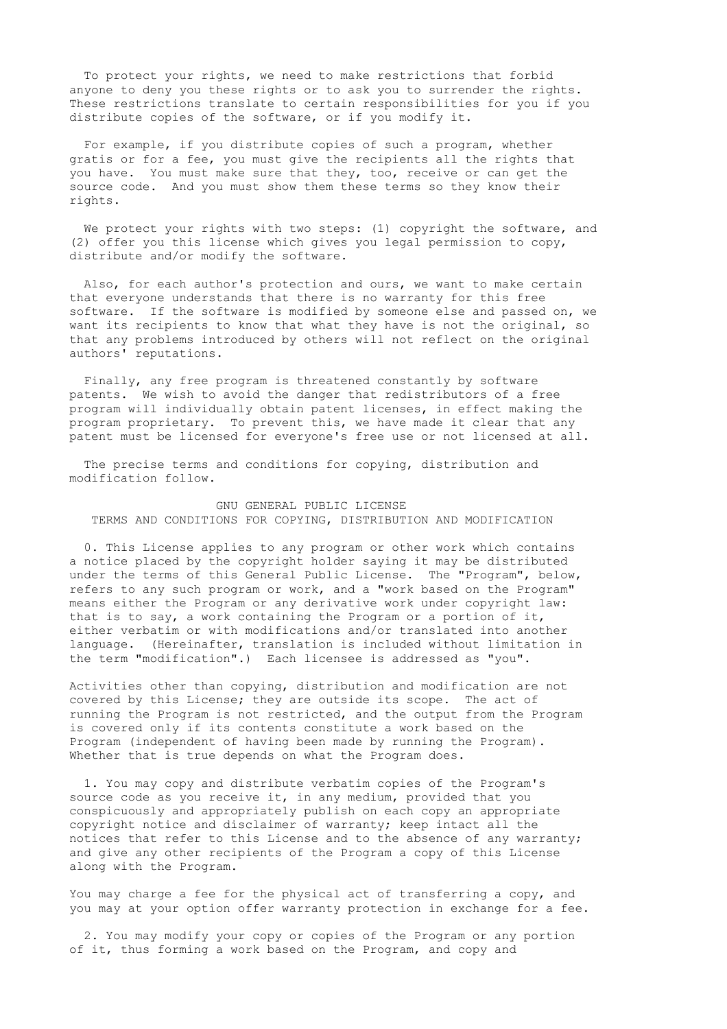To protect your rights, we need to make restrictions that forbid anyone to deny you these rights or to ask you to surrender the rights. These restrictions translate to certain responsibilities for you if you distribute copies of the software, or if you modify it.

 For example, if you distribute copies of such a program, whether gratis or for a fee, you must give the recipients all the rights that you have. You must make sure that they, too, receive or can get the source code. And you must show them these terms so they know their rights.

We protect your rights with two steps: (1) copyright the software, and (2) offer you this license which gives you legal permission to copy, distribute and/or modify the software.

 Also, for each author's protection and ours, we want to make certain that everyone understands that there is no warranty for this free software. If the software is modified by someone else and passed on, we want its recipients to know that what they have is not the original, so that any problems introduced by others will not reflect on the original authors' reputations.

 Finally, any free program is threatened constantly by software patents. We wish to avoid the danger that redistributors of a free program will individually obtain patent licenses, in effect making the program proprietary. To prevent this, we have made it clear that any patent must be licensed for everyone's free use or not licensed at all.

The precise terms and conditions for copying, distribution and modification follow.

## GNU GENERAL PUBLIC LICENSE TERMS AND CONDITIONS FOR COPYING, DISTRIBUTION AND MODIFICATION

 0. This License applies to any program or other work which contains a notice placed by the copyright holder saying it may be distributed under the terms of this General Public License. The "Program", below, refers to any such program or work, and a "work based on the Program" means either the Program or any derivative work under copyright law: that is to say, a work containing the Program or a portion of it, either verbatim or with modifications and/or translated into another language. (Hereinafter, translation is included without limitation in the term "modification".) Each licensee is addressed as "you".

Activities other than copying, distribution and modification are not covered by this License; they are outside its scope. The act of running the Program is not restricted, and the output from the Program is covered only if its contents constitute a work based on the Program (independent of having been made by running the Program). Whether that is true depends on what the Program does.

 1. You may copy and distribute verbatim copies of the Program's source code as you receive it, in any medium, provided that you conspicuously and appropriately publish on each copy an appropriate copyright notice and disclaimer of warranty; keep intact all the notices that refer to this License and to the absence of any warranty; and give any other recipients of the Program a copy of this License along with the Program.

You may charge a fee for the physical act of transferring a copy, and you may at your option offer warranty protection in exchange for a fee.

 2. You may modify your copy or copies of the Program or any portion of it, thus forming a work based on the Program, and copy and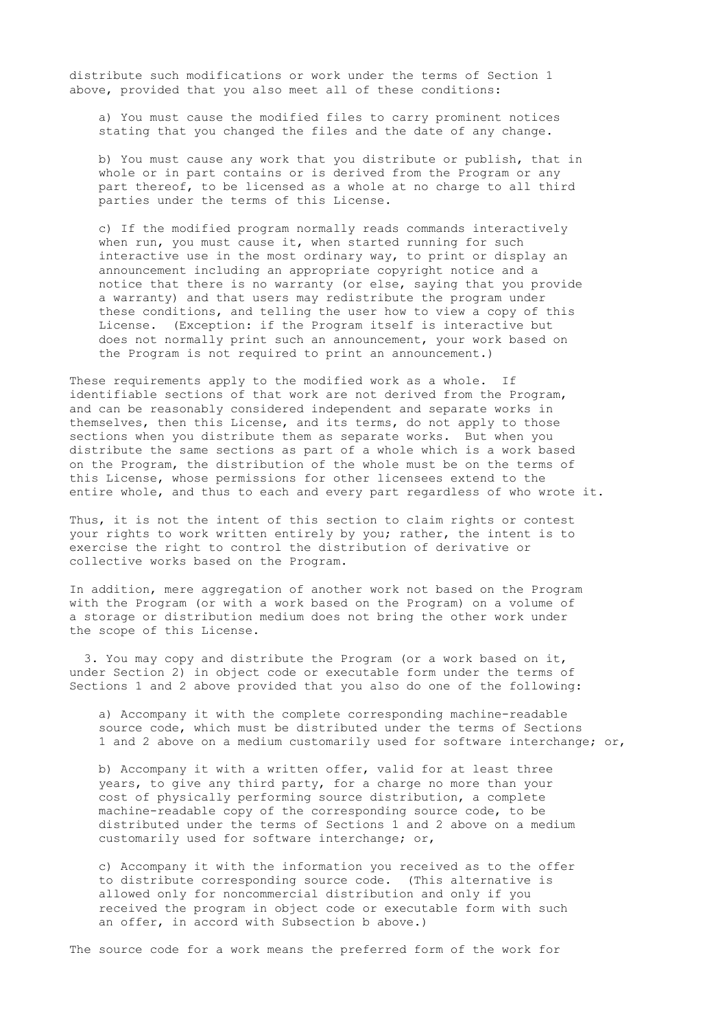distribute such modifications or work under the terms of Section 1 above, provided that you also meet all of these conditions:

 a) You must cause the modified files to carry prominent notices stating that you changed the files and the date of any change.

 b) You must cause any work that you distribute or publish, that in whole or in part contains or is derived from the Program or any part thereof, to be licensed as a whole at no charge to all third parties under the terms of this License.

 c) If the modified program normally reads commands interactively when run, you must cause it, when started running for such interactive use in the most ordinary way, to print or display an announcement including an appropriate copyright notice and a notice that there is no warranty (or else, saying that you provide a warranty) and that users may redistribute the program under these conditions, and telling the user how to view a copy of this License. (Exception: if the Program itself is interactive but does not normally print such an announcement, your work based on the Program is not required to print an announcement.)

These requirements apply to the modified work as a whole. If identifiable sections of that work are not derived from the Program, and can be reasonably considered independent and separate works in themselves, then this License, and its terms, do not apply to those sections when you distribute them as separate works. But when you distribute the same sections as part of a whole which is a work based on the Program, the distribution of the whole must be on the terms of this License, whose permissions for other licensees extend to the entire whole, and thus to each and every part regardless of who wrote it.

Thus, it is not the intent of this section to claim rights or contest your rights to work written entirely by you; rather, the intent is to exercise the right to control the distribution of derivative or collective works based on the Program.

In addition, mere aggregation of another work not based on the Program with the Program (or with a work based on the Program) on a volume of a storage or distribution medium does not bring the other work under the scope of this License.

 3. You may copy and distribute the Program (or a work based on it, under Section 2) in object code or executable form under the terms of Sections 1 and 2 above provided that you also do one of the following:

 a) Accompany it with the complete corresponding machine-readable source code, which must be distributed under the terms of Sections 1 and 2 above on a medium customarily used for software interchange; or,

 b) Accompany it with a written offer, valid for at least three years, to give any third party, for a charge no more than your cost of physically performing source distribution, a complete machine-readable copy of the corresponding source code, to be distributed under the terms of Sections 1 and 2 above on a medium customarily used for software interchange; or,

 c) Accompany it with the information you received as to the offer to distribute corresponding source code. (This alternative is allowed only for noncommercial distribution and only if you received the program in object code or executable form with such an offer, in accord with Subsection b above.)

The source code for a work means the preferred form of the work for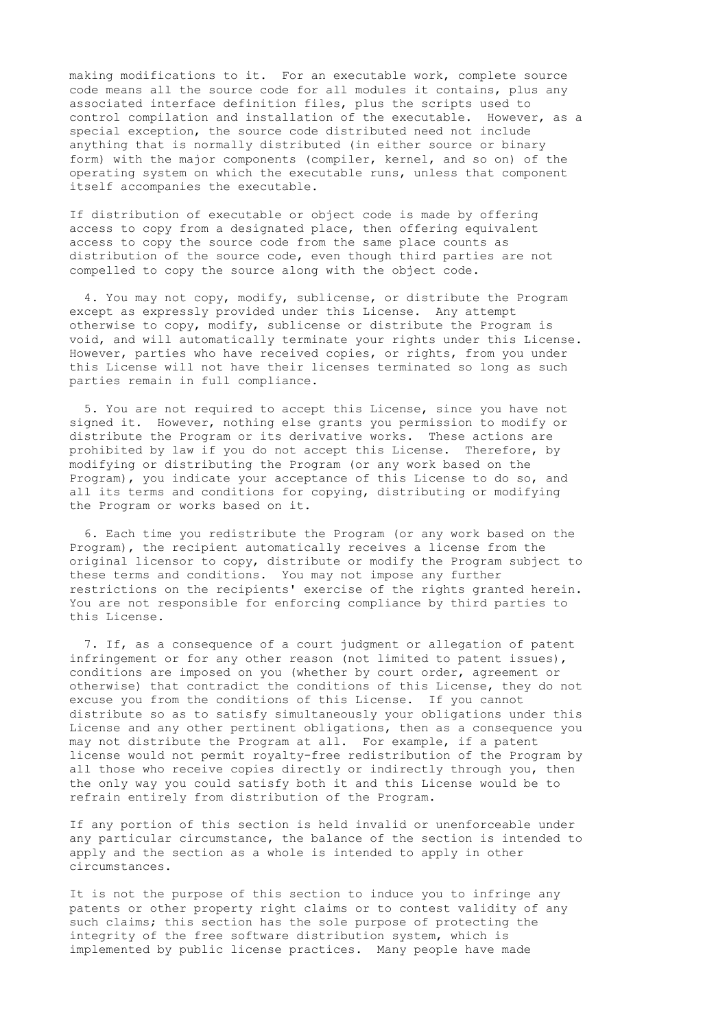making modifications to it. For an executable work, complete source code means all the source code for all modules it contains, plus any associated interface definition files, plus the scripts used to control compilation and installation of the executable. However, as a special exception, the source code distributed need not include anything that is normally distributed (in either source or binary form) with the major components (compiler, kernel, and so on) of the operating system on which the executable runs, unless that component itself accompanies the executable.

If distribution of executable or object code is made by offering access to copy from a designated place, then offering equivalent access to copy the source code from the same place counts as distribution of the source code, even though third parties are not compelled to copy the source along with the object code.

 4. You may not copy, modify, sublicense, or distribute the Program except as expressly provided under this License. Any attempt otherwise to copy, modify, sublicense or distribute the Program is void, and will automatically terminate your rights under this License. However, parties who have received copies, or rights, from you under this License will not have their licenses terminated so long as such parties remain in full compliance.

 5. You are not required to accept this License, since you have not signed it. However, nothing else grants you permission to modify or distribute the Program or its derivative works. These actions are prohibited by law if you do not accept this License. Therefore, by modifying or distributing the Program (or any work based on the Program), you indicate your acceptance of this License to do so, and all its terms and conditions for copying, distributing or modifying the Program or works based on it.

 6. Each time you redistribute the Program (or any work based on the Program), the recipient automatically receives a license from the original licensor to copy, distribute or modify the Program subject to these terms and conditions. You may not impose any further restrictions on the recipients' exercise of the rights granted herein. You are not responsible for enforcing compliance by third parties to this License.

 7. If, as a consequence of a court judgment or allegation of patent infringement or for any other reason (not limited to patent issues), conditions are imposed on you (whether by court order, agreement or otherwise) that contradict the conditions of this License, they do not excuse you from the conditions of this License. If you cannot distribute so as to satisfy simultaneously your obligations under this License and any other pertinent obligations, then as a consequence you may not distribute the Program at all. For example, if a patent license would not permit royalty-free redistribution of the Program by all those who receive copies directly or indirectly through you, then the only way you could satisfy both it and this License would be to refrain entirely from distribution of the Program.

If any portion of this section is held invalid or unenforceable under any particular circumstance, the balance of the section is intended to apply and the section as a whole is intended to apply in other circumstances.

It is not the purpose of this section to induce you to infringe any patents or other property right claims or to contest validity of any such claims; this section has the sole purpose of protecting the integrity of the free software distribution system, which is implemented by public license practices. Many people have made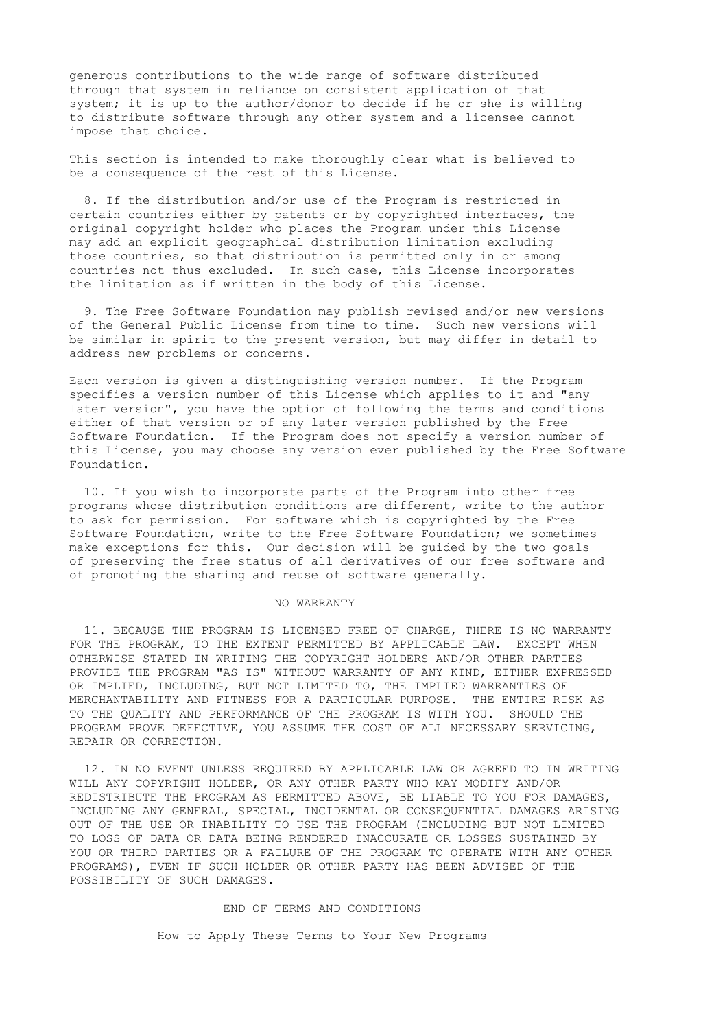generous contributions to the wide range of software distributed through that system in reliance on consistent application of that system; it is up to the author/donor to decide if he or she is willing to distribute software through any other system and a licensee cannot impose that choice.

This section is intended to make thoroughly clear what is believed to be a consequence of the rest of this License.

 8. If the distribution and/or use of the Program is restricted in certain countries either by patents or by copyrighted interfaces, the original copyright holder who places the Program under this License may add an explicit geographical distribution limitation excluding those countries, so that distribution is permitted only in or among countries not thus excluded. In such case, this License incorporates the limitation as if written in the body of this License.

 9. The Free Software Foundation may publish revised and/or new versions of the General Public License from time to time. Such new versions will be similar in spirit to the present version, but may differ in detail to address new problems or concerns.

Each version is given a distinguishing version number. If the Program specifies a version number of this License which applies to it and "any later version", you have the option of following the terms and conditions either of that version or of any later version published by the Free Software Foundation. If the Program does not specify a version number of this License, you may choose any version ever published by the Free Software Foundation.

 10. If you wish to incorporate parts of the Program into other free programs whose distribution conditions are different, write to the author to ask for permission. For software which is copyrighted by the Free Software Foundation, write to the Free Software Foundation; we sometimes make exceptions for this. Our decision will be guided by the two goals of preserving the free status of all derivatives of our free software and of promoting the sharing and reuse of software generally.

## NO WARRANTY

 11. BECAUSE THE PROGRAM IS LICENSED FREE OF CHARGE, THERE IS NO WARRANTY FOR THE PROGRAM, TO THE EXTENT PERMITTED BY APPLICABLE LAW. EXCEPT WHEN OTHERWISE STATED IN WRITING THE COPYRIGHT HOLDERS AND/OR OTHER PARTIES PROVIDE THE PROGRAM "AS IS" WITHOUT WARRANTY OF ANY KIND, EITHER EXPRESSED OR IMPLIED, INCLUDING, BUT NOT LIMITED TO, THE IMPLIED WARRANTIES OF MERCHANTABILITY AND FITNESS FOR A PARTICULAR PURPOSE. THE ENTIRE RISK AS TO THE QUALITY AND PERFORMANCE OF THE PROGRAM IS WITH YOU. SHOULD THE PROGRAM PROVE DEFECTIVE, YOU ASSUME THE COST OF ALL NECESSARY SERVICING, REPAIR OR CORRECTION.

 12. IN NO EVENT UNLESS REQUIRED BY APPLICABLE LAW OR AGREED TO IN WRITING WILL ANY COPYRIGHT HOLDER, OR ANY OTHER PARTY WHO MAY MODIFY AND/OR REDISTRIBUTE THE PROGRAM AS PERMITTED ABOVE, BE LIABLE TO YOU FOR DAMAGES, INCLUDING ANY GENERAL, SPECIAL, INCIDENTAL OR CONSEQUENTIAL DAMAGES ARISING OUT OF THE USE OR INABILITY TO USE THE PROGRAM (INCLUDING BUT NOT LIMITED TO LOSS OF DATA OR DATA BEING RENDERED INACCURATE OR LOSSES SUSTAINED BY YOU OR THIRD PARTIES OR A FAILURE OF THE PROGRAM TO OPERATE WITH ANY OTHER PROGRAMS), EVEN IF SUCH HOLDER OR OTHER PARTY HAS BEEN ADVISED OF THE POSSIBILITY OF SUCH DAMAGES.

### END OF TERMS AND CONDITIONS

How to Apply These Terms to Your New Programs